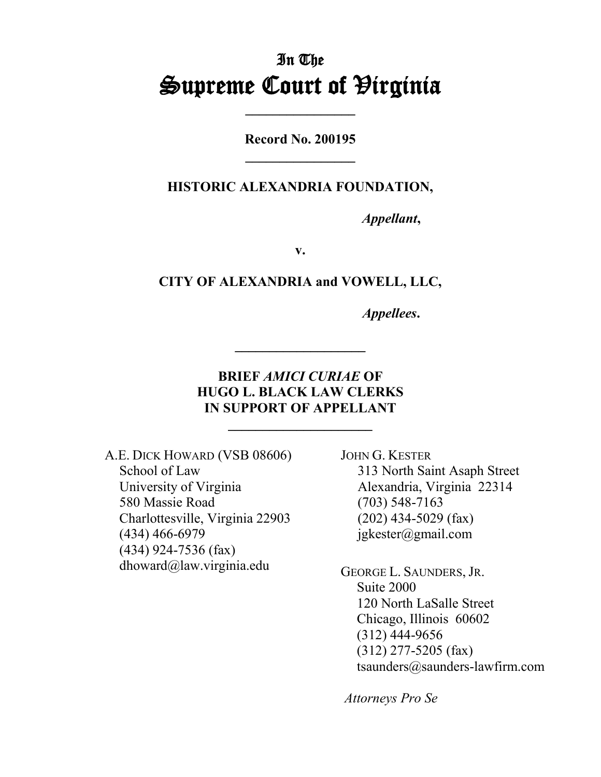# In The **Supreme Court of Hirginia**

**Record No. 200195 \_\_\_\_\_\_\_\_\_\_\_\_\_\_\_\_**

**HISTORIC ALEXANDRIA FOUNDATION,**

*Appellant***,**

**v.**

**CITY OF ALEXANDRIA and VOWELL, LLC,**

*Appellees***.**

## **BRIEF** *AMICI CURIAE* **OF HUGO L. BLACK LAW CLERKS IN SUPPORT OF APPELLANT**

**\_\_\_\_\_\_\_\_\_\_\_\_\_\_\_\_\_\_\_\_\_**

A.E. DICK HOWARD (VSB 08606) School of Law University of Virginia 580 Massie Road Charlottesville, Virginia 22903 (434) 466-6979 (434) 924-7536 (fax) dhoward@law.virginia.edu

JOHN G. KESTER 313 North Saint Asaph Street Alexandria, Virginia 22314 (703) 548-7163 (202) 434-5029 (fax) jgkester@gmail.com

GEORGE L. SAUNDERS, JR. Suite 2000 120 North LaSalle Street Chicago, Illinois 60602 (312) 444-9656 (312) 277-5205 (fax) tsaunders@saunders-lawfirm.com

*Attorneys Pro Se*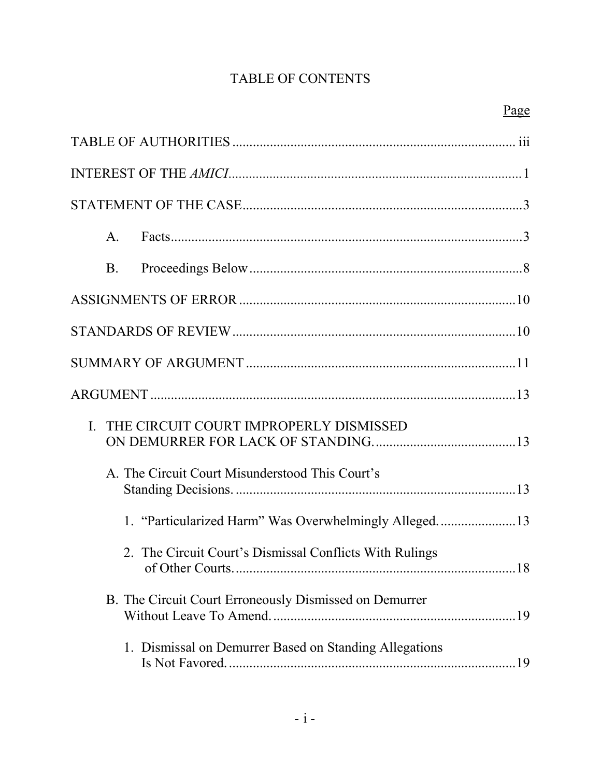## TABLE OF CONTENTS

|   | $\mathsf{A}.$ |                                                                                  |  |
|---|---------------|----------------------------------------------------------------------------------|--|
|   | <b>B.</b>     |                                                                                  |  |
|   |               |                                                                                  |  |
|   |               |                                                                                  |  |
|   |               |                                                                                  |  |
|   |               |                                                                                  |  |
| L |               | THE CIRCUIT COURT IMPROPERLY DISMISSED                                           |  |
|   |               | A. The Circuit Court Misunderstood This Court's                                  |  |
|   |               | 1. "Particularized Harm" Was Overwhelmingly Alleged13                            |  |
|   |               | 2. The Circuit Court's Dismissal Conflicts With Rulings<br>18<br>of Other Courts |  |
|   |               | B. The Circuit Court Erroneously Dismissed on Demurrer                           |  |
|   |               | 1. Dismissal on Demurrer Based on Standing Allegations                           |  |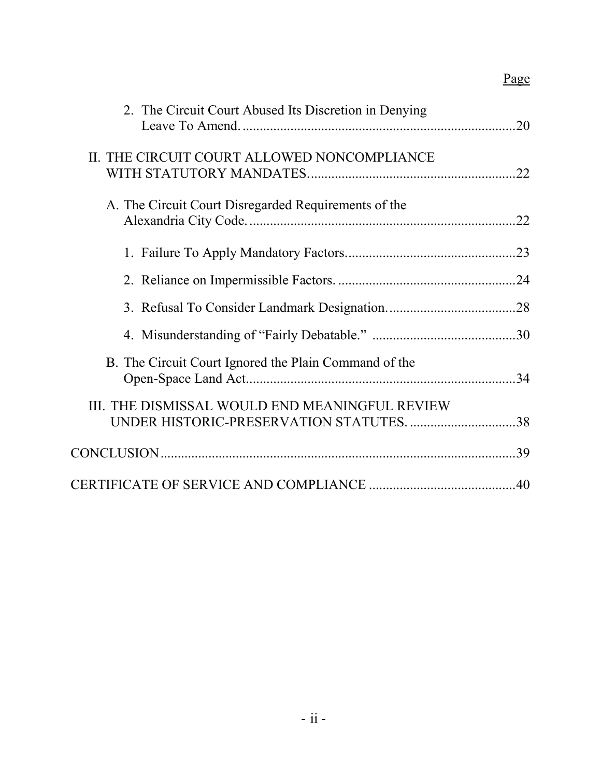# Page

| 2. The Circuit Court Abused Its Discretion in Denying                                      |  |
|--------------------------------------------------------------------------------------------|--|
| II. THE CIRCUIT COURT ALLOWED NONCOMPLIANCE                                                |  |
| A. The Circuit Court Disregarded Requirements of the                                       |  |
|                                                                                            |  |
|                                                                                            |  |
|                                                                                            |  |
|                                                                                            |  |
| B. The Circuit Court Ignored the Plain Command of the                                      |  |
| III. THE DISMISSAL WOULD END MEANINGFUL REVIEW<br>UNDER HISTORIC-PRESERVATION STATUTES. 38 |  |
|                                                                                            |  |
|                                                                                            |  |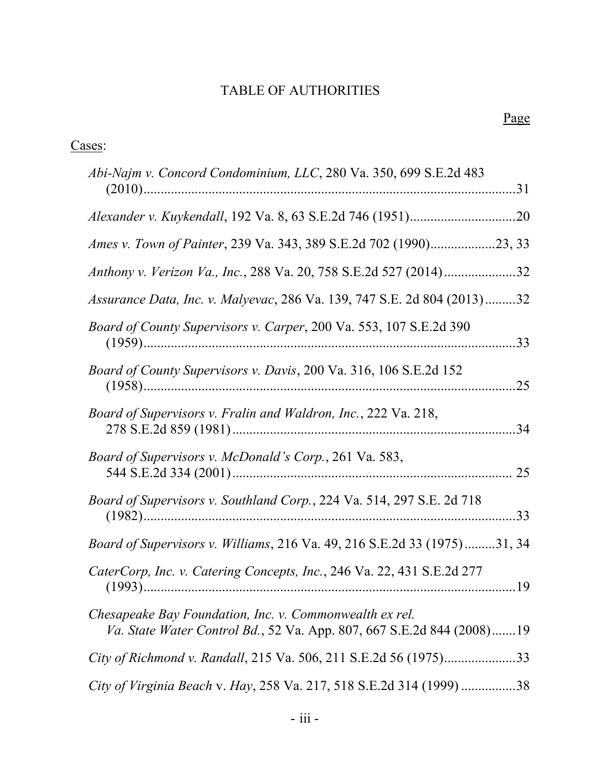# TABLE OF AUTHORITIES

| Cases:                                                                                                                           |  |
|----------------------------------------------------------------------------------------------------------------------------------|--|
| Abi-Najm v. Concord Condominium, LLC, 280 Va. 350, 699 S.E.2d 483                                                                |  |
|                                                                                                                                  |  |
| Ames v. Town of Painter, 239 Va. 343, 389 S.E.2d 702 (1990)23, 33                                                                |  |
| Anthony v. Verizon Va., Inc., 288 Va. 20, 758 S.E.2d 527 (2014)32                                                                |  |
| Assurance Data, Inc. v. Malyevac, 286 Va. 139, 747 S.E. 2d 804 (2013)32                                                          |  |
| Board of County Supervisors v. Carper, 200 Va. 553, 107 S.E.2d 390                                                               |  |
| Board of County Supervisors v. Davis, 200 Va. 316, 106 S.E.2d 152                                                                |  |
| Board of Supervisors v. Fralin and Waldron, Inc., 222 Va. 218,                                                                   |  |
| Board of Supervisors v. McDonald's Corp., 261 Va. 583,                                                                           |  |
| Board of Supervisors v. Southland Corp., 224 Va. 514, 297 S.E. 2d 718                                                            |  |
| Board of Supervisors v. Williams, 216 Va. 49, 216 S.E.2d 33 (1975)31, 34                                                         |  |
| CaterCorp, Inc. v. Catering Concepts, Inc., 246 Va. 22, 431 S.E.2d 277                                                           |  |
| Chesapeake Bay Foundation, Inc. v. Commonwealth ex rel.<br>Va. State Water Control Bd., 52 Va. App. 807, 667 S.E.2d 844 (2008)19 |  |
| City of Richmond v. Randall, 215 Va. 506, 211 S.E.2d 56 (1975)33                                                                 |  |
| City of Virginia Beach v. Hay, 258 Va. 217, 518 S.E.2d 314 (1999) 38                                                             |  |
|                                                                                                                                  |  |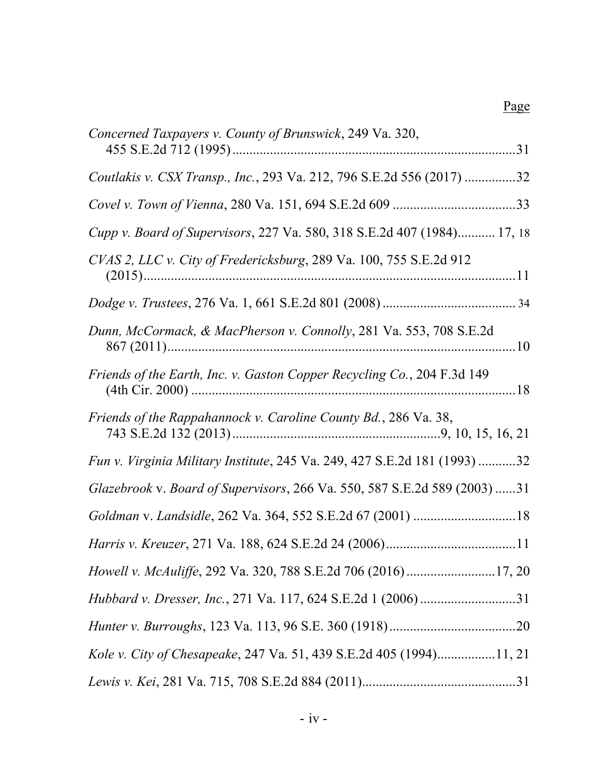| Concerned Taxpayers v. County of Brunswick, 249 Va. 320,                  |
|---------------------------------------------------------------------------|
| Coutlakis v. CSX Transp., Inc., 293 Va. 212, 796 S.E.2d 556 (2017) 32     |
|                                                                           |
| Cupp v. Board of Supervisors, 227 Va. 580, 318 S.E.2d 407 (1984) 17, 18   |
| CVAS 2, LLC v. City of Fredericksburg, 289 Va. 100, 755 S.E.2d 912        |
|                                                                           |
| Dunn, McCormack, & MacPherson v. Connolly, 281 Va. 553, 708 S.E.2d        |
| Friends of the Earth, Inc. v. Gaston Copper Recycling Co., 204 F.3d 149   |
| Friends of the Rappahannock v. Caroline County Bd., 286 Va. 38,           |
| Fun v. Virginia Military Institute, 245 Va. 249, 427 S.E.2d 181 (1993) 32 |
| Glazebrook v. Board of Supervisors, 266 Va. 550, 587 S.E.2d 589 (2003) 31 |
|                                                                           |
|                                                                           |
| Howell v. McAuliffe, 292 Va. 320, 788 S.E.2d 706 (2016)17, 20             |
| Hubbard v. Dresser, Inc., 271 Va. 117, 624 S.E.2d 1 (2006) 31             |
|                                                                           |
| Kole v. City of Chesapeake, 247 Va. 51, 439 S.E.2d 405 (1994)11, 21       |
|                                                                           |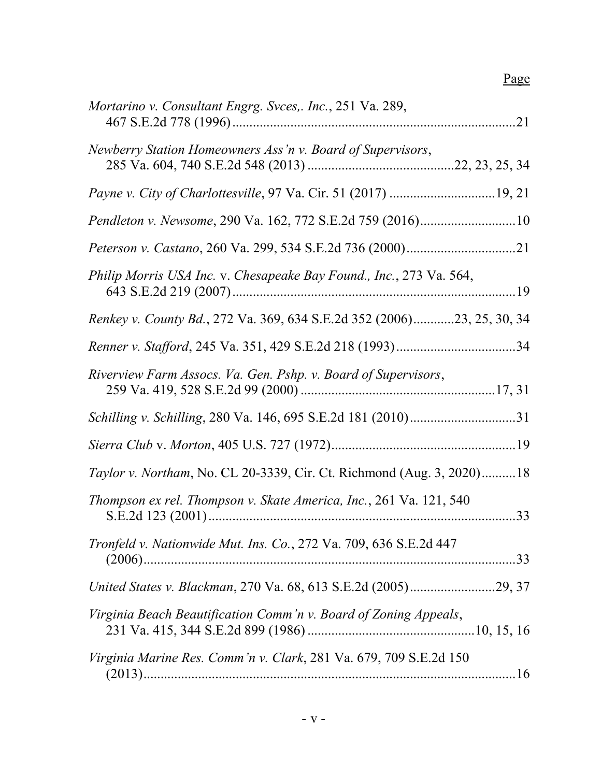# Page

| Mortarino v. Consultant Engrg. Svces,. Inc., 251 Va. 289,              |
|------------------------------------------------------------------------|
| Newberry Station Homeowners Ass'n v. Board of Supervisors,             |
|                                                                        |
| Pendleton v. Newsome, 290 Va. 162, 772 S.E.2d 759 (2016)10             |
|                                                                        |
| Philip Morris USA Inc. v. Chesapeake Bay Found., Inc., 273 Va. 564,    |
| Renkey v. County Bd., 272 Va. 369, 634 S.E.2d 352 (2006)23, 25, 30, 34 |
|                                                                        |
| Riverview Farm Assocs. Va. Gen. Pshp. v. Board of Supervisors,         |
|                                                                        |
|                                                                        |
| Taylor v. Northam, No. CL 20-3339, Cir. Ct. Richmond (Aug. 3, 2020)18  |
| Thompson ex rel. Thompson v. Skate America, Inc., 261 Va. 121, 540     |
| Tronfeld v. Nationwide Mut. Ins. Co., 272 Va. 709, 636 S.E.2d 447      |
|                                                                        |
| Virginia Beach Beautification Comm'n v. Board of Zoning Appeals,       |
| Virginia Marine Res. Comm'n v. Clark, 281 Va. 679, 709 S.E.2d 150      |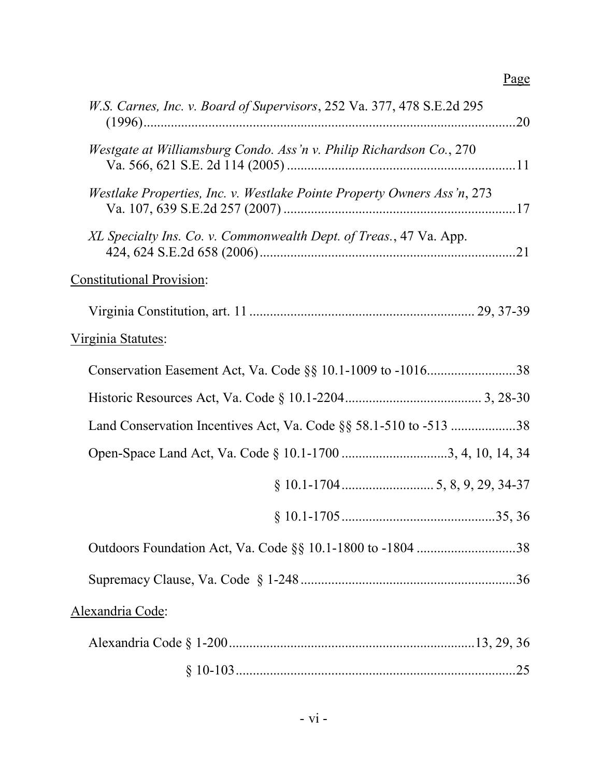# Page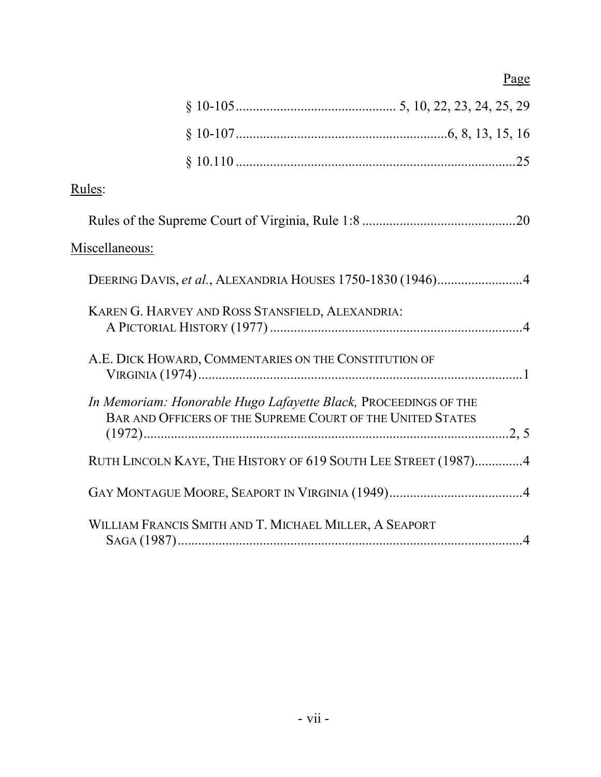| Rules:                                                                                                                        |  |
|-------------------------------------------------------------------------------------------------------------------------------|--|
|                                                                                                                               |  |
| Miscellaneous:                                                                                                                |  |
| DEERING DAVIS, et al., ALEXANDRIA HOUSES 1750-1830 (1946)4                                                                    |  |
| KAREN G. HARVEY AND ROSS STANSFIELD, ALEXANDRIA:                                                                              |  |
| A.E. DICK HOWARD, COMMENTARIES ON THE CONSTITUTION OF                                                                         |  |
| In Memoriam: Honorable Hugo Lafayette Black, PROCEEDINGS OF THE<br>BAR AND OFFICERS OF THE SUPREME COURT OF THE UNITED STATES |  |
| RUTH LINCOLN KAYE, THE HISTORY OF 619 SOUTH LEE STREET (1987)4                                                                |  |
|                                                                                                                               |  |
| WILLIAM FRANCIS SMITH AND T. MICHAEL MILLER, A SEAPORT                                                                        |  |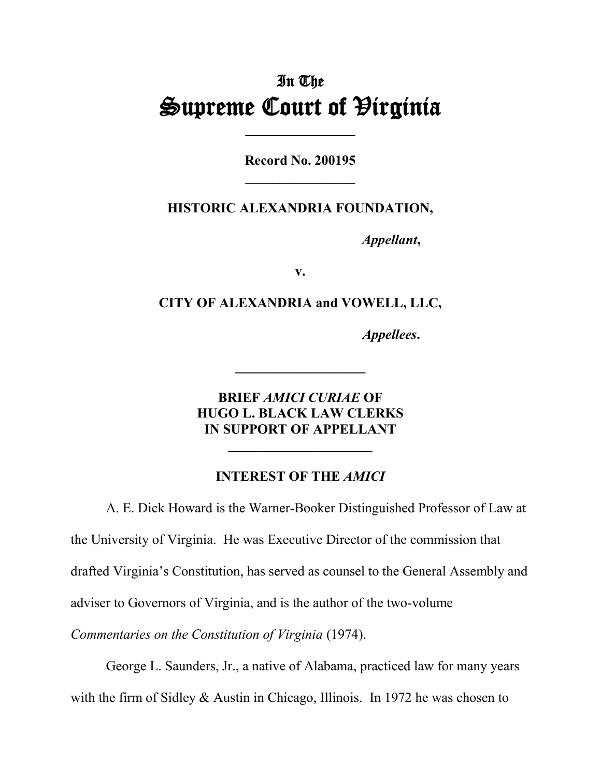# In The **Supreme Court of Hirginia**

**Record No. 200195 \_\_\_\_\_\_\_\_\_\_\_\_\_\_\_\_**

#### **HISTORIC ALEXANDRIA FOUNDATION,**

*Appellant***,**

**v.**

#### **CITY OF ALEXANDRIA and VOWELL, LLC,**

*Appellees***.**

### **BRIEF** *AMICI CURIAE* **OF HUGO L. BLACK LAW CLERKS IN SUPPORT OF APPELLANT**

### **INTEREST OF THE** *AMICI*

**\_\_\_\_\_\_\_\_\_\_\_\_\_\_\_\_\_\_\_\_\_**

A. E. Dick Howard is the Warner-Booker Distinguished Professor of Law at the University of Virginia. He was Executive Director of the commission that drafted Virginia's Constitution, has served as counsel to the General Assembly and adviser to Governors of Virginia, and is the author of the two-volume

*Commentaries on the Constitution of Virginia* (1974).

George L. Saunders, Jr., a native of Alabama, practiced law for many years with the firm of Sidley & Austin in Chicago, Illinois. In 1972 he was chosen to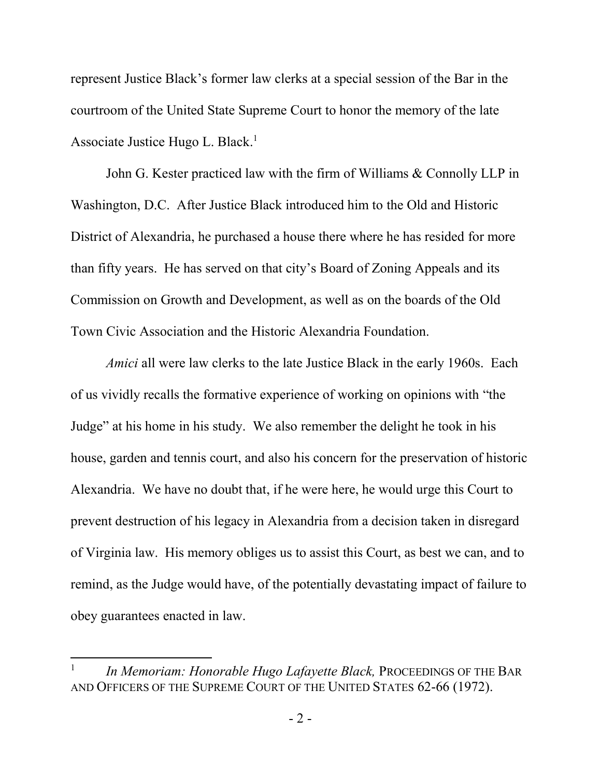represent Justice Black's former law clerks at a special session of the Bar in the courtroom of the United State Supreme Court to honor the memory of the late Associate Justice Hugo L. Black.<sup>1</sup>

John G. Kester practiced law with the firm of Williams & Connolly LLP in Washington, D.C. After Justice Black introduced him to the Old and Historic District of Alexandria, he purchased a house there where he has resided for more than fifty years. He has served on that city's Board of Zoning Appeals and its Commission on Growth and Development, as well as on the boards of the Old Town Civic Association and the Historic Alexandria Foundation.

*Amici* all were law clerks to the late Justice Black in the early 1960s. Each of us vividly recalls the formative experience of working on opinions with "the Judge" at his home in his study. We also remember the delight he took in his house, garden and tennis court, and also his concern for the preservation of historic Alexandria. We have no doubt that, if he were here, he would urge this Court to prevent destruction of his legacy in Alexandria from a decision taken in disregard of Virginia law. His memory obliges us to assist this Court, as best we can, and to remind, as the Judge would have, of the potentially devastating impact of failure to obey guarantees enacted in law.

 $\overline{\phantom{a}}$ 

<sup>1</sup> *In Memoriam: Honorable Hugo Lafayette Black,* PROCEEDINGS OF THE BAR AND OFFICERS OF THE SUPREME COURT OF THE UNITED STATES 62-66 (1972).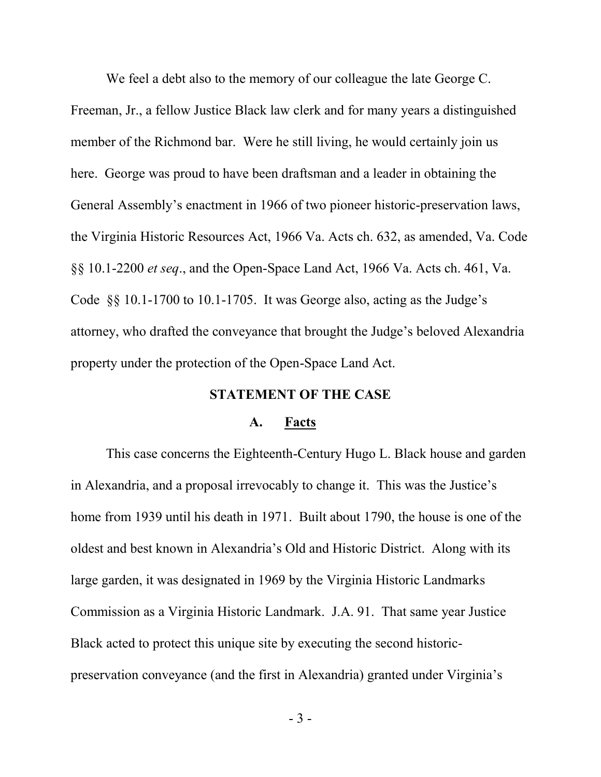We feel a debt also to the memory of our colleague the late George C. Freeman, Jr., a fellow Justice Black law clerk and for many years a distinguished member of the Richmond bar. Were he still living, he would certainly join us here. George was proud to have been draftsman and a leader in obtaining the General Assembly's enactment in 1966 of two pioneer historic-preservation laws, the Virginia Historic Resources Act, 1966 Va. Acts ch. 632, as amended, Va. Code §§ 10.1-2200 *et seq*., and the Open-Space Land Act, 1966 Va. Acts ch. 461, Va. Code §§ 10.1-1700 to 10.1-1705. It was George also, acting as the Judge's attorney, who drafted the conveyance that brought the Judge's beloved Alexandria property under the protection of the Open-Space Land Act.

#### **STATEMENT OF THE CASE**

#### **A. Facts**

This case concerns the Eighteenth-Century Hugo L. Black house and garden in Alexandria, and a proposal irrevocably to change it. This was the Justice's home from 1939 until his death in 1971. Built about 1790, the house is one of the oldest and best known in Alexandria's Old and Historic District. Along with its large garden, it was designated in 1969 by the Virginia Historic Landmarks Commission as a Virginia Historic Landmark. J.A. 91. That same year Justice Black acted to protect this unique site by executing the second historicpreservation conveyance (and the first in Alexandria) granted under Virginia's

- 3 -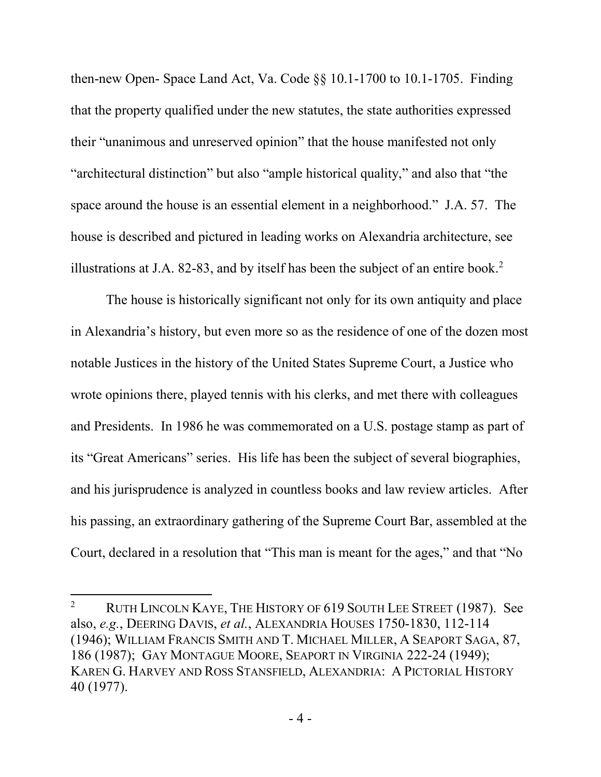then-new Open- Space Land Act, Va. Code §§ 10.1-1700 to 10.1-1705. Finding that the property qualified under the new statutes, the state authorities expressed their "unanimous and unreserved opinion" that the house manifested not only "architectural distinction" but also "ample historical quality," and also that "the space around the house is an essential element in a neighborhood." J.A. 57. The house is described and pictured in leading works on Alexandria architecture, see illustrations at J.A. 82-83, and by itself has been the subject of an entire book.<sup>2</sup>

The house is historically significant not only for its own antiquity and place in Alexandria's history, but even more so as the residence of one of the dozen most notable Justices in the history of the United States Supreme Court, a Justice who wrote opinions there, played tennis with his clerks, and met there with colleagues and Presidents. In 1986 he was commemorated on a U.S. postage stamp as part of its "Great Americans" series. His life has been the subject of several biographies, and his jurisprudence is analyzed in countless books and law review articles. After his passing, an extraordinary gathering of the Supreme Court Bar, assembled at the Court, declared in a resolution that "This man is meant for the ages," and that "No

 $\overline{a}$ 

<sup>&</sup>lt;sup>2</sup> RUTH LINCOLN KAYE, THE HISTORY OF  $619$  SOUTH LEE STREET (1987). See also, *e.g.*, DEERING DAVIS, *et al.*, ALEXANDRIA HOUSES 1750-1830, 112-114 (1946); WILLIAM FRANCIS SMITH AND T. MICHAEL MILLER, A SEAPORT SAGA, 87, 186 (1987); GAY MONTAGUE MOORE, SEAPORT IN VIRGINIA 222-24 (1949); KAREN G. HARVEY AND ROSS STANSFIELD, ALEXANDRIA: A PICTORIAL HISTORY 40 (1977).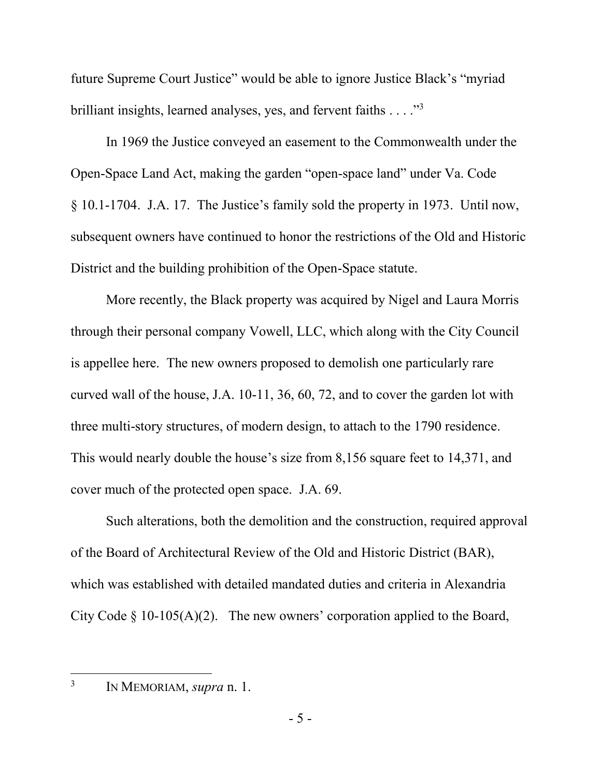future Supreme Court Justice" would be able to ignore Justice Black's "myriad brilliant insights, learned analyses, yes, and fervent faiths . . . . "<sup>3</sup>

In 1969 the Justice conveyed an easement to the Commonwealth under the Open-Space Land Act, making the garden "open-space land" under Va. Code § 10.1-1704. J.A. 17. The Justice's family sold the property in 1973. Until now, subsequent owners have continued to honor the restrictions of the Old and Historic District and the building prohibition of the Open-Space statute.

More recently, the Black property was acquired by Nigel and Laura Morris through their personal company Vowell, LLC, which along with the City Council is appellee here. The new owners proposed to demolish one particularly rare curved wall of the house, J.A. 10-11, 36, 60, 72, and to cover the garden lot with three multi-story structures, of modern design, to attach to the 1790 residence. This would nearly double the house's size from 8,156 square feet to 14,371, and cover much of the protected open space. J.A. 69.

Such alterations, both the demolition and the construction, required approval of the Board of Architectural Review of the Old and Historic District (BAR), which was established with detailed mandated duties and criteria in Alexandria City Code  $\S$  10-105(A)(2). The new owners' corporation applied to the Board,

3 IN MEMORIAM, *supra* n. 1.

 $\overline{\phantom{a}}$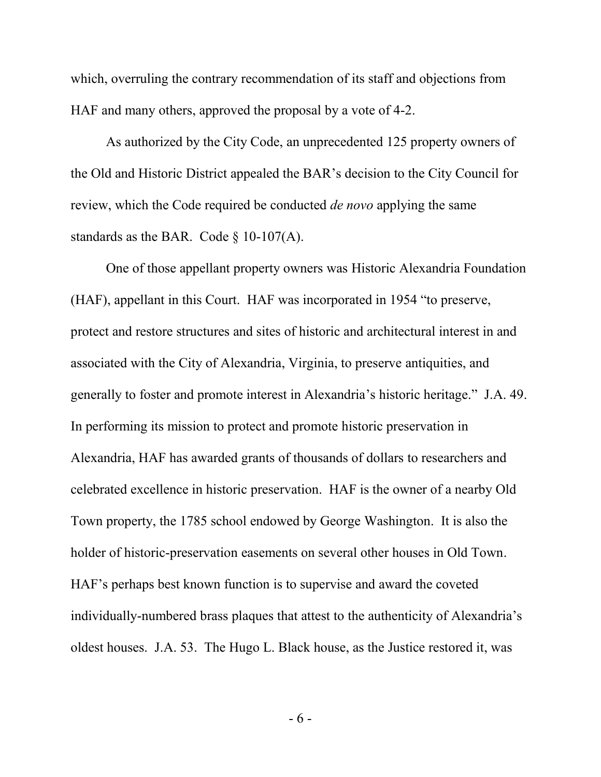which, overruling the contrary recommendation of its staff and objections from HAF and many others, approved the proposal by a vote of 4-2.

As authorized by the City Code, an unprecedented 125 property owners of the Old and Historic District appealed the BAR's decision to the City Council for review, which the Code required be conducted *de novo* applying the same standards as the BAR. Code  $\S$  10-107(A).

One of those appellant property owners was Historic Alexandria Foundation (HAF), appellant in this Court. HAF was incorporated in 1954 "to preserve, protect and restore structures and sites of historic and architectural interest in and associated with the City of Alexandria, Virginia, to preserve antiquities, and generally to foster and promote interest in Alexandria's historic heritage." J.A. 49. In performing its mission to protect and promote historic preservation in Alexandria, HAF has awarded grants of thousands of dollars to researchers and celebrated excellence in historic preservation. HAF is the owner of a nearby Old Town property, the 1785 school endowed by George Washington. It is also the holder of historic-preservation easements on several other houses in Old Town. HAF's perhaps best known function is to supervise and award the coveted individually-numbered brass plaques that attest to the authenticity of Alexandria's oldest houses. J.A. 53. The Hugo L. Black house, as the Justice restored it, was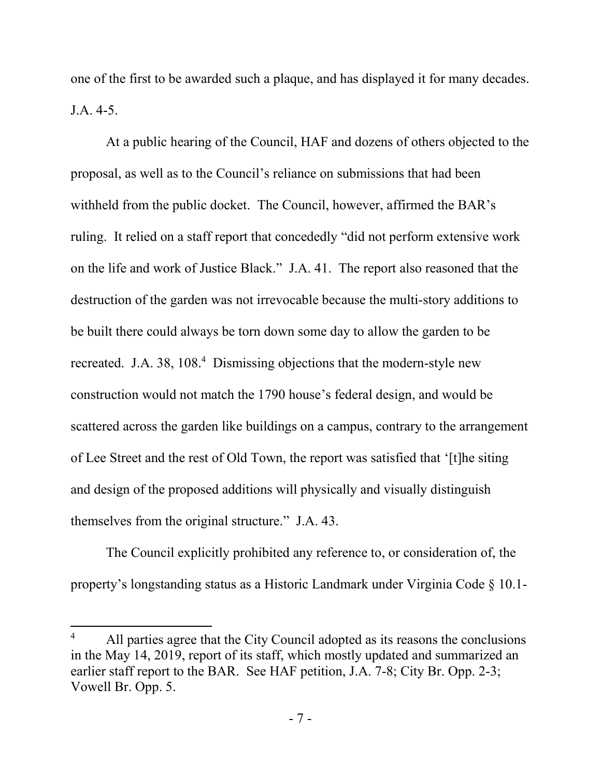one of the first to be awarded such a plaque, and has displayed it for many decades. J.A. 4-5.

At a public hearing of the Council, HAF and dozens of others objected to the proposal, as well as to the Council's reliance on submissions that had been withheld from the public docket. The Council, however, affirmed the BAR's ruling. It relied on a staff report that concededly "did not perform extensive work on the life and work of Justice Black." J.A. 41. The report also reasoned that the destruction of the garden was not irrevocable because the multi-story additions to be built there could always be torn down some day to allow the garden to be recreated. J.A. 38, 108.<sup>4</sup> Dismissing objections that the modern-style new construction would not match the 1790 house's federal design, and would be scattered across the garden like buildings on a campus, contrary to the arrangement of Lee Street and the rest of Old Town, the report was satisfied that '[t]he siting and design of the proposed additions will physically and visually distinguish themselves from the original structure." J.A. 43.

The Council explicitly prohibited any reference to, or consideration of, the property's longstanding status as a Historic Landmark under Virginia Code § 10.1-

 $\overline{\phantom{a}}$ 

All parties agree that the City Council adopted as its reasons the conclusions in the May 14, 2019, report of its staff, which mostly updated and summarized an earlier staff report to the BAR. See HAF petition, J.A. 7-8; City Br. Opp. 2-3; Vowell Br. Opp. 5.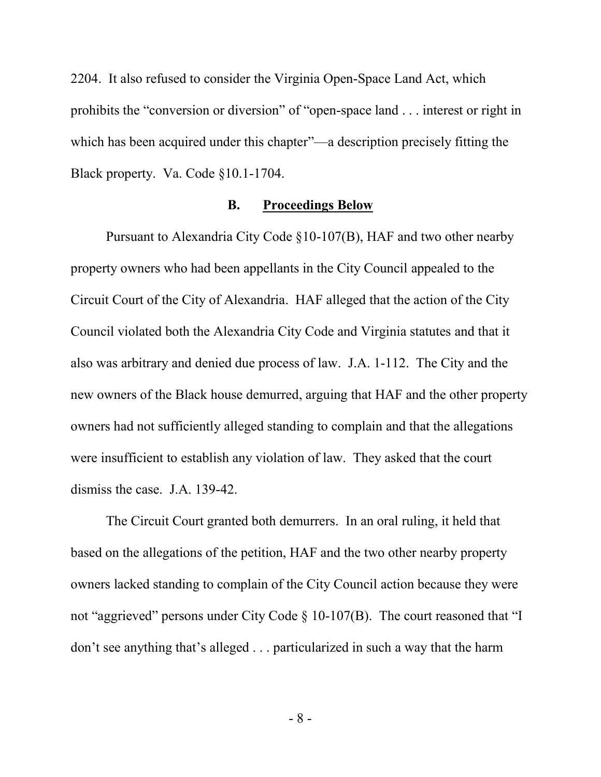2204. It also refused to consider the Virginia Open-Space Land Act, which prohibits the "conversion or diversion" of "open-space land . . . interest or right in which has been acquired under this chapter"—a description precisely fitting the Black property. Va. Code §10.1-1704.

#### **B. Proceedings Below**

Pursuant to Alexandria City Code §10-107(B), HAF and two other nearby property owners who had been appellants in the City Council appealed to the Circuit Court of the City of Alexandria. HAF alleged that the action of the City Council violated both the Alexandria City Code and Virginia statutes and that it also was arbitrary and denied due process of law. J.A. 1-112. The City and the new owners of the Black house demurred, arguing that HAF and the other property owners had not sufficiently alleged standing to complain and that the allegations were insufficient to establish any violation of law. They asked that the court dismiss the case. J.A. 139-42.

The Circuit Court granted both demurrers. In an oral ruling, it held that based on the allegations of the petition, HAF and the two other nearby property owners lacked standing to complain of the City Council action because they were not "aggrieved" persons under City Code  $\S$  10-107(B). The court reasoned that "I don't see anything that's alleged . . . particularized in such a way that the harm

- 8 -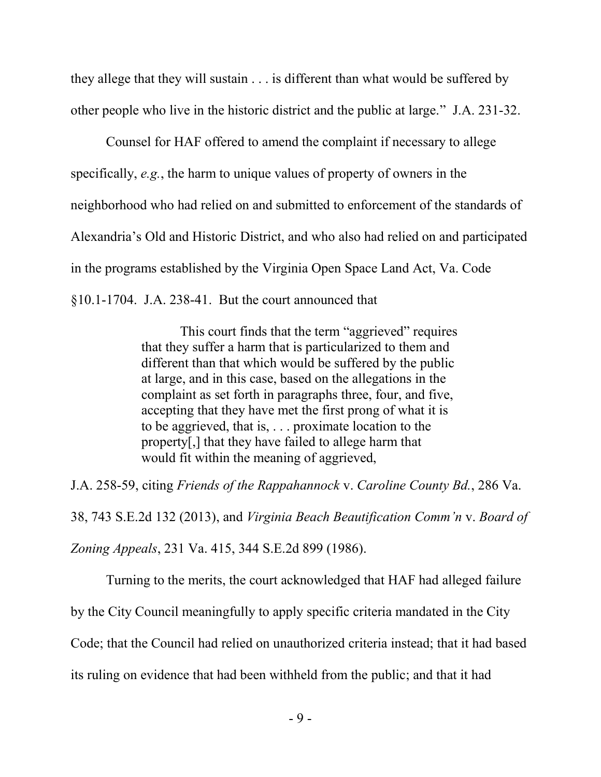they allege that they will sustain . . . is different than what would be suffered by other people who live in the historic district and the public at large." J.A. 231-32.

Counsel for HAF offered to amend the complaint if necessary to allege specifically, *e.g.*, the harm to unique values of property of owners in the neighborhood who had relied on and submitted to enforcement of the standards of Alexandria's Old and Historic District, and who also had relied on and participated in the programs established by the Virginia Open Space Land Act, Va. Code §10.1-1704. J.A. 238-41. But the court announced that

> This court finds that the term "aggrieved" requires that they suffer a harm that is particularized to them and different than that which would be suffered by the public at large, and in this case, based on the allegations in the complaint as set forth in paragraphs three, four, and five, accepting that they have met the first prong of what it is to be aggrieved, that is, . . . proximate location to the property[,] that they have failed to allege harm that would fit within the meaning of aggrieved,

J.A. 258-59, citing *Friends of the Rappahannock* v. *Caroline County Bd.*, 286 Va. 38, 743 S.E.2d 132 (2013), and *Virginia Beach Beautification Comm'n* v. *Board of Zoning Appeals*, 231 Va. 415, 344 S.E.2d 899 (1986).

Turning to the merits, the court acknowledged that HAF had alleged failure by the City Council meaningfully to apply specific criteria mandated in the City Code; that the Council had relied on unauthorized criteria instead; that it had based its ruling on evidence that had been withheld from the public; and that it had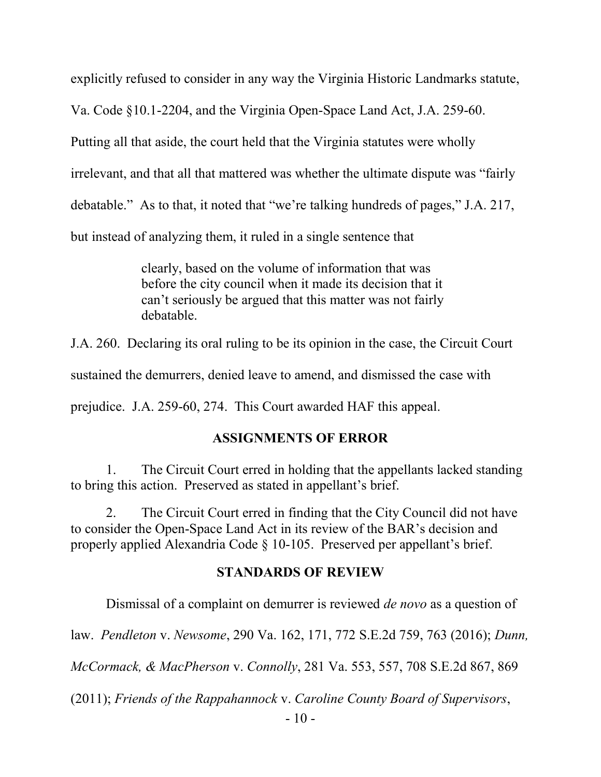explicitly refused to consider in any way the Virginia Historic Landmarks statute,

Va. Code §10.1-2204, and the Virginia Open-Space Land Act, J.A. 259-60.

Putting all that aside, the court held that the Virginia statutes were wholly

irrelevant, and that all that mattered was whether the ultimate dispute was "fairly

debatable." As to that, it noted that "we're talking hundreds of pages," J.A. 217,

but instead of analyzing them, it ruled in a single sentence that

clearly, based on the volume of information that was before the city council when it made its decision that it can't seriously be argued that this matter was not fairly debatable.

J.A. 260. Declaring its oral ruling to be its opinion in the case, the Circuit Court

sustained the demurrers, denied leave to amend, and dismissed the case with

prejudice. J.A. 259-60, 274. This Court awarded HAF this appeal.

#### **ASSIGNMENTS OF ERROR**

1. The Circuit Court erred in holding that the appellants lacked standing to bring this action. Preserved as stated in appellant's brief.

2. The Circuit Court erred in finding that the City Council did not have to consider the Open-Space Land Act in its review of the BAR's decision and properly applied Alexandria Code § 10-105. Preserved per appellant's brief.

#### **STANDARDS OF REVIEW**

Dismissal of a complaint on demurrer is reviewed *de novo* as a question of

law. *Pendleton* v. *Newsome*, 290 Va. 162, 171, 772 S.E.2d 759, 763 (2016); *Dunn,* 

*McCormack, & MacPherson* v. *Connolly*, 281 Va. 553, 557, 708 S.E.2d 867, 869

(2011); *Friends of the Rappahannock* v. *Caroline County Board of Supervisors*,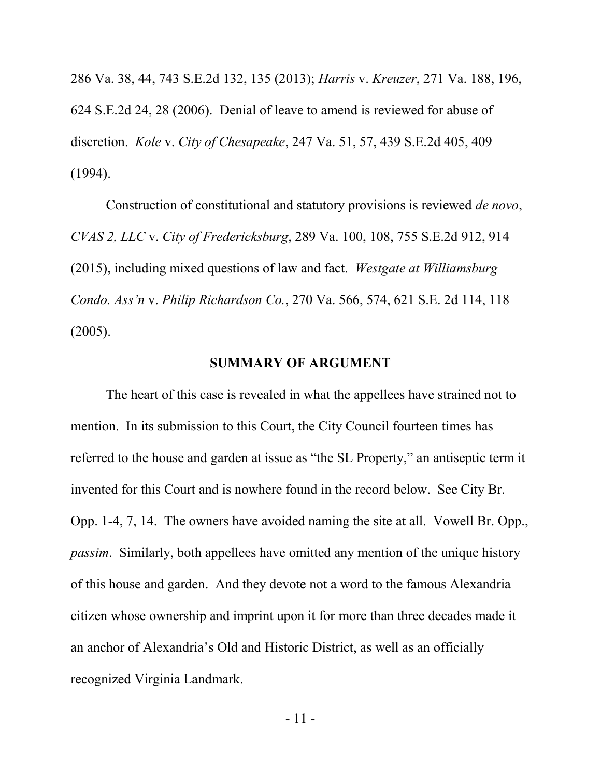286 Va. 38, 44, 743 S.E.2d 132, 135 (2013); *Harris* v. *Kreuzer*, 271 Va. 188, 196, 624 S.E.2d 24, 28 (2006). Denial of leave to amend is reviewed for abuse of discretion. *Kole* v. *City of Chesapeake*, 247 Va. 51, 57, 439 S.E.2d 405, 409 (1994).

Construction of constitutional and statutory provisions is reviewed *de novo*, *CVAS 2, LLC* v. *City of Fredericksburg*, 289 Va. 100, 108, 755 S.E.2d 912, 914 (2015), including mixed questions of law and fact. *Westgate at Williamsburg Condo. Ass'n* v. *Philip Richardson Co.*, 270 Va. 566, 574, 621 S.E. 2d 114, 118 (2005).

#### **SUMMARY OF ARGUMENT**

The heart of this case is revealed in what the appellees have strained not to mention. In its submission to this Court, the City Council fourteen times has referred to the house and garden at issue as "the SL Property," an antiseptic term it invented for this Court and is nowhere found in the record below. See City Br. Opp. 1-4, 7, 14. The owners have avoided naming the site at all. Vowell Br. Opp., *passim*. Similarly, both appellees have omitted any mention of the unique history of this house and garden. And they devote not a word to the famous Alexandria citizen whose ownership and imprint upon it for more than three decades made it an anchor of Alexandria's Old and Historic District, as well as an officially recognized Virginia Landmark.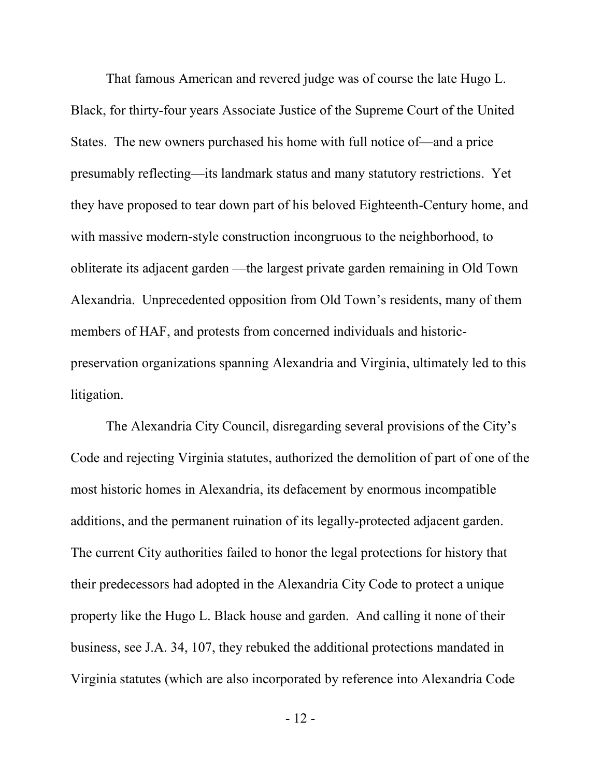That famous American and revered judge was of course the late Hugo L. Black, for thirty-four years Associate Justice of the Supreme Court of the United States. The new owners purchased his home with full notice of—and a price presumably reflecting—its landmark status and many statutory restrictions. Yet they have proposed to tear down part of his beloved Eighteenth-Century home, and with massive modern-style construction incongruous to the neighborhood, to obliterate its adjacent garden —the largest private garden remaining in Old Town Alexandria. Unprecedented opposition from Old Town's residents, many of them members of HAF, and protests from concerned individuals and historicpreservation organizations spanning Alexandria and Virginia, ultimately led to this litigation.

The Alexandria City Council, disregarding several provisions of the City's Code and rejecting Virginia statutes, authorized the demolition of part of one of the most historic homes in Alexandria, its defacement by enormous incompatible additions, and the permanent ruination of its legally-protected adjacent garden. The current City authorities failed to honor the legal protections for history that their predecessors had adopted in the Alexandria City Code to protect a unique property like the Hugo L. Black house and garden. And calling it none of their business, see J.A. 34, 107, they rebuked the additional protections mandated in Virginia statutes (which are also incorporated by reference into Alexandria Code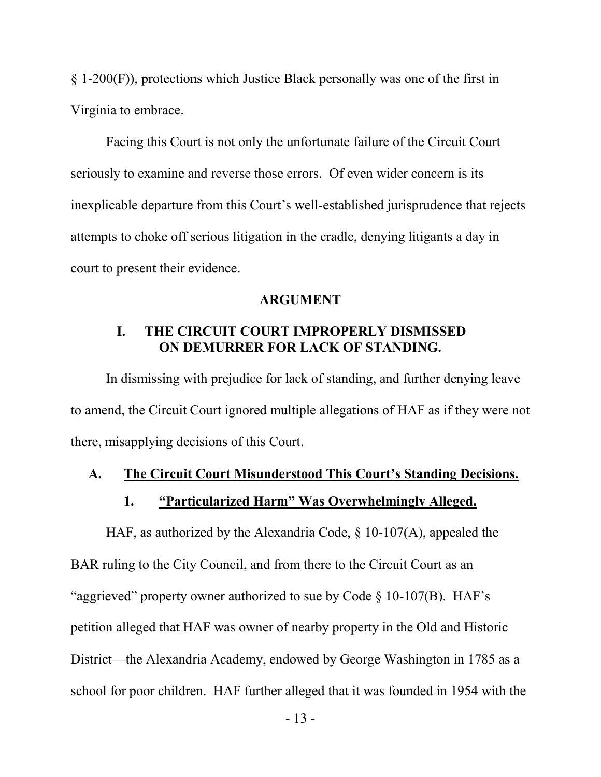§ 1-200(F)), protections which Justice Black personally was one of the first in Virginia to embrace.

Facing this Court is not only the unfortunate failure of the Circuit Court seriously to examine and reverse those errors. Of even wider concern is its inexplicable departure from this Court's well-established jurisprudence that rejects attempts to choke off serious litigation in the cradle, denying litigants a day in court to present their evidence.

#### **ARGUMENT**

#### **I. THE CIRCUIT COURT IMPROPERLY DISMISSED ON DEMURRER FOR LACK OF STANDING.**

In dismissing with prejudice for lack of standing, and further denying leave to amend, the Circuit Court ignored multiple allegations of HAF as if they were not there, misapplying decisions of this Court.

#### **A. The Circuit Court Misunderstood This Court's Standing Decisions.**

#### **1. "Particularized Harm" Was Overwhelmingly Alleged.**

HAF, as authorized by the Alexandria Code, § 10-107(A), appealed the BAR ruling to the City Council, and from there to the Circuit Court as an "aggrieved" property owner authorized to sue by Code § 10-107(B). HAF's petition alleged that HAF was owner of nearby property in the Old and Historic District—the Alexandria Academy, endowed by George Washington in 1785 as a school for poor children. HAF further alleged that it was founded in 1954 with the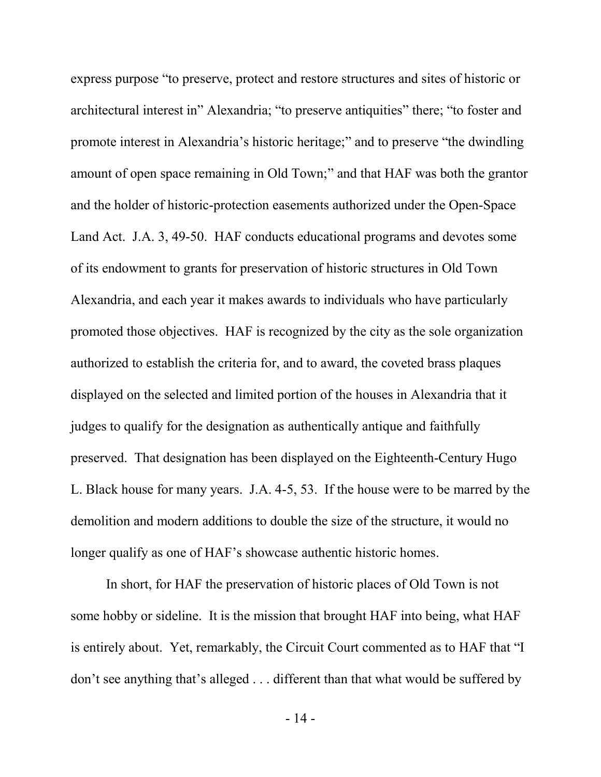express purpose "to preserve, protect and restore structures and sites of historic or architectural interest in" Alexandria; "to preserve antiquities" there; "to foster and promote interest in Alexandria's historic heritage;" and to preserve "the dwindling amount of open space remaining in Old Town;" and that HAF was both the grantor and the holder of historic-protection easements authorized under the Open-Space Land Act. J.A. 3, 49-50. HAF conducts educational programs and devotes some of its endowment to grants for preservation of historic structures in Old Town Alexandria, and each year it makes awards to individuals who have particularly promoted those objectives. HAF is recognized by the city as the sole organization authorized to establish the criteria for, and to award, the coveted brass plaques displayed on the selected and limited portion of the houses in Alexandria that it judges to qualify for the designation as authentically antique and faithfully preserved. That designation has been displayed on the Eighteenth-Century Hugo L. Black house for many years. J.A. 4-5, 53. If the house were to be marred by the demolition and modern additions to double the size of the structure, it would no longer qualify as one of HAF's showcase authentic historic homes.

In short, for HAF the preservation of historic places of Old Town is not some hobby or sideline. It is the mission that brought HAF into being, what HAF is entirely about. Yet, remarkably, the Circuit Court commented as to HAF that "I don't see anything that's alleged . . . different than that what would be suffered by

- 14 -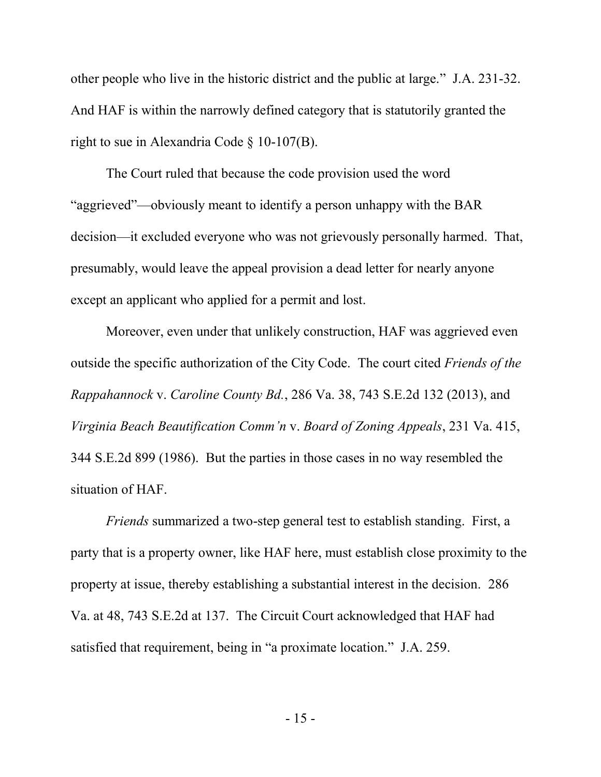other people who live in the historic district and the public at large." J.A. 231-32. And HAF is within the narrowly defined category that is statutorily granted the right to sue in Alexandria Code § 10-107(B).

The Court ruled that because the code provision used the word "aggrieved"—obviously meant to identify a person unhappy with the BAR decision—it excluded everyone who was not grievously personally harmed. That, presumably, would leave the appeal provision a dead letter for nearly anyone except an applicant who applied for a permit and lost.

Moreover, even under that unlikely construction, HAF was aggrieved even outside the specific authorization of the City Code. The court cited *Friends of the Rappahannock* v. *Caroline County Bd.*, 286 Va. 38, 743 S.E.2d 132 (2013), and *Virginia Beach Beautification Comm'n* v. *Board of Zoning Appeals*, 231 Va. 415, 344 S.E.2d 899 (1986). But the parties in those cases in no way resembled the situation of HAF.

*Friends* summarized a two-step general test to establish standing. First, a party that is a property owner, like HAF here, must establish close proximity to the property at issue, thereby establishing a substantial interest in the decision. 286 Va. at 48, 743 S.E.2d at 137. The Circuit Court acknowledged that HAF had satisfied that requirement, being in "a proximate location." J.A. 259.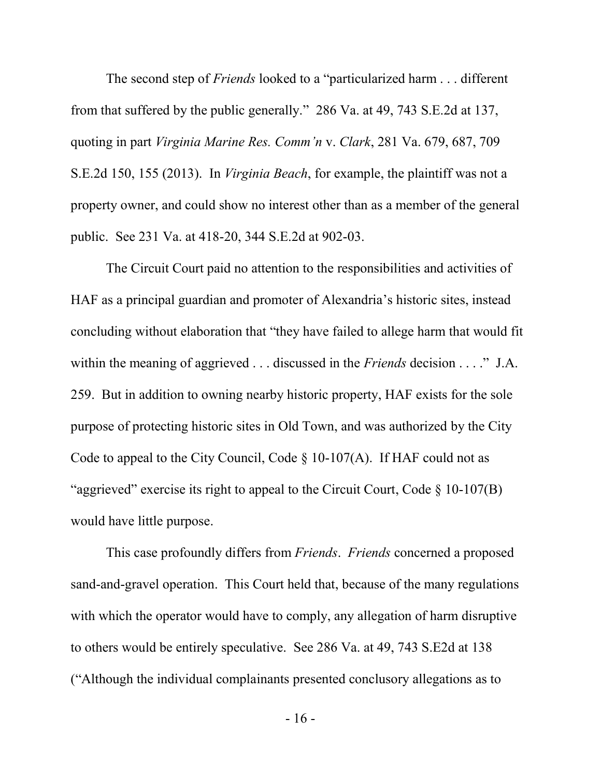The second step of *Friends* looked to a "particularized harm . . . different from that suffered by the public generally." 286 Va. at 49, 743 S.E.2d at 137, quoting in part *Virginia Marine Res. Comm'n* v. *Clark*, 281 Va. 679, 687, 709 S.E.2d 150, 155 (2013). In *Virginia Beach*, for example, the plaintiff was not a property owner, and could show no interest other than as a member of the general public. See 231 Va. at 418-20, 344 S.E.2d at 902-03.

The Circuit Court paid no attention to the responsibilities and activities of HAF as a principal guardian and promoter of Alexandria's historic sites, instead concluding without elaboration that "they have failed to allege harm that would fit within the meaning of aggrieved . . . discussed in the *Friends* decision . . . ." J.A. 259. But in addition to owning nearby historic property, HAF exists for the sole purpose of protecting historic sites in Old Town, and was authorized by the City Code to appeal to the City Council, Code  $\S$  10-107(A). If HAF could not as "aggrieved" exercise its right to appeal to the Circuit Court, Code § 10-107(B) would have little purpose.

This case profoundly differs from *Friends*. *Friends* concerned a proposed sand-and-gravel operation. This Court held that, because of the many regulations with which the operator would have to comply, any allegation of harm disruptive to others would be entirely speculative. See 286 Va. at 49, 743 S.E2d at 138 ("Although the individual complainants presented conclusory allegations as to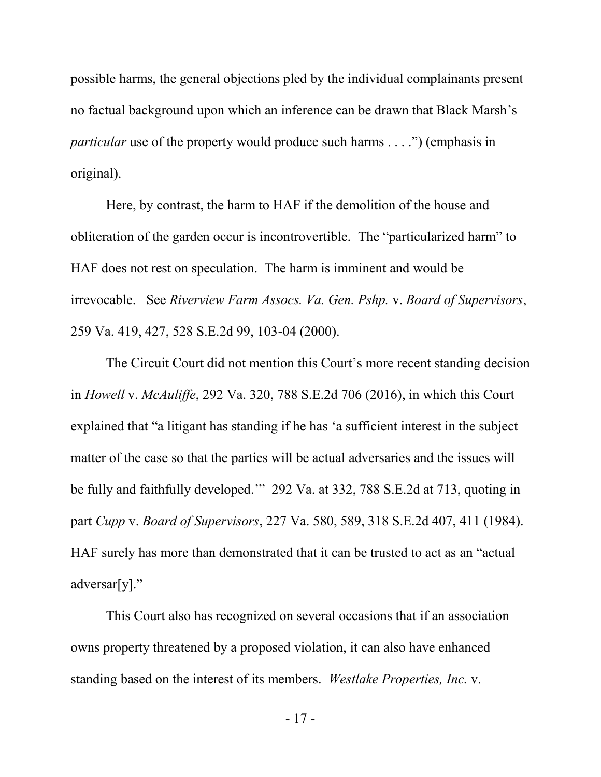possible harms, the general objections pled by the individual complainants present no factual background upon which an inference can be drawn that Black Marsh's *particular* use of the property would produce such harms . . . .") (emphasis in original).

Here, by contrast, the harm to HAF if the demolition of the house and obliteration of the garden occur is incontrovertible. The "particularized harm" to HAF does not rest on speculation. The harm is imminent and would be irrevocable. See *Riverview Farm Assocs. Va. Gen. Pshp.* v. *Board of Supervisors*, 259 Va. 419, 427, 528 S.E.2d 99, 103-04 (2000).

The Circuit Court did not mention this Court's more recent standing decision in *Howell* v. *McAuliffe*, 292 Va. 320, 788 S.E.2d 706 (2016), in which this Court explained that "a litigant has standing if he has 'a sufficient interest in the subject matter of the case so that the parties will be actual adversaries and the issues will be fully and faithfully developed.'" 292 Va. at 332, 788 S.E.2d at 713, quoting in part *Cupp* v. *Board of Supervisors*, 227 Va. 580, 589, 318 S.E.2d 407, 411 (1984). HAF surely has more than demonstrated that it can be trusted to act as an "actual adversar[y]."

This Court also has recognized on several occasions that if an association owns property threatened by a proposed violation, it can also have enhanced standing based on the interest of its members. *Westlake Properties, Inc.* v.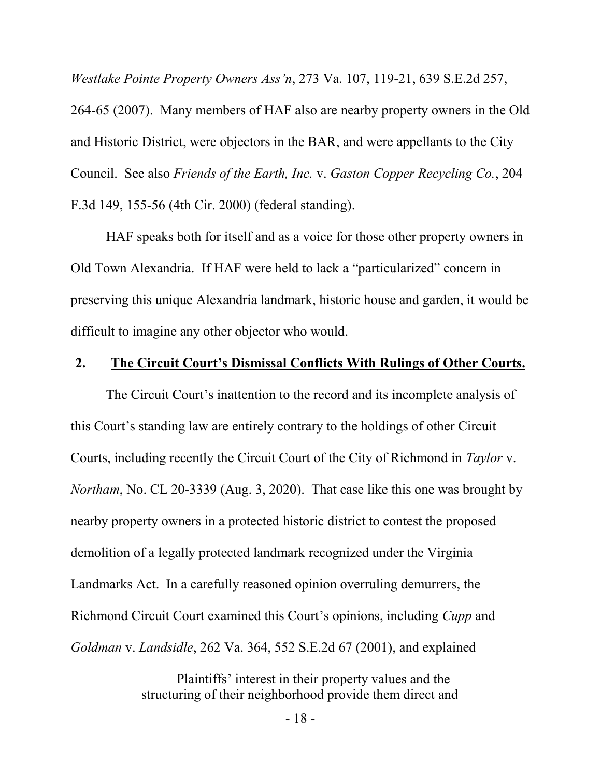*Westlake Pointe Property Owners Ass'n*, 273 Va. 107, 119-21, 639 S.E.2d 257,

264-65 (2007). Many members of HAF also are nearby property owners in the Old and Historic District, were objectors in the BAR, and were appellants to the City Council. See also *Friends of the Earth, Inc.* v. *Gaston Copper Recycling Co.*, 204 F.3d 149, 155-56 (4th Cir. 2000) (federal standing).

HAF speaks both for itself and as a voice for those other property owners in Old Town Alexandria. If HAF were held to lack a "particularized" concern in preserving this unique Alexandria landmark, historic house and garden, it would be difficult to imagine any other objector who would.

#### **2. The Circuit Court's Dismissal Conflicts With Rulings of Other Courts.**

The Circuit Court's inattention to the record and its incomplete analysis of this Court's standing law are entirely contrary to the holdings of other Circuit Courts, including recently the Circuit Court of the City of Richmond in *Taylor* v. *Northam*, No. CL 20-3339 (Aug. 3, 2020). That case like this one was brought by nearby property owners in a protected historic district to contest the proposed demolition of a legally protected landmark recognized under the Virginia Landmarks Act. In a carefully reasoned opinion overruling demurrers, the Richmond Circuit Court examined this Court's opinions, including *Cupp* and *Goldman* v. *Landsidle*, 262 Va. 364, 552 S.E.2d 67 (2001), and explained

> Plaintiffs' interest in their property values and the structuring of their neighborhood provide them direct and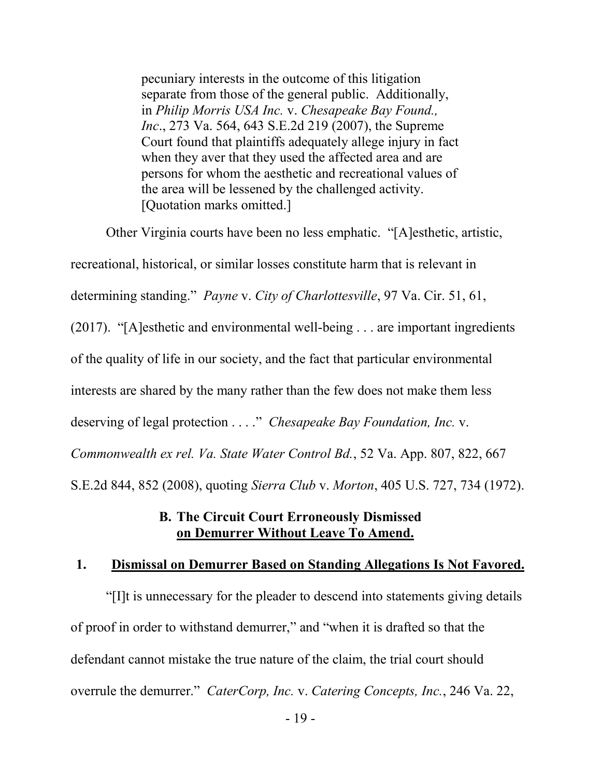pecuniary interests in the outcome of this litigation separate from those of the general public. Additionally, in *Philip Morris USA Inc.* v. *Chesapeake Bay Found., Inc*., 273 Va. 564, 643 S.E.2d 219 (2007), the Supreme Court found that plaintiffs adequately allege injury in fact when they aver that they used the affected area and are persons for whom the aesthetic and recreational values of the area will be lessened by the challenged activity. [Quotation marks omitted.]

Other Virginia courts have been no less emphatic. "[A]esthetic, artistic, recreational, historical, or similar losses constitute harm that is relevant in determining standing." *Payne* v. *City of Charlottesville*, 97 Va. Cir. 51, 61, (2017). "[A]esthetic and environmental well-being . . . are important ingredients of the quality of life in our society, and the fact that particular environmental interests are shared by the many rather than the few does not make them less deserving of legal protection . . . ." *Chesapeake Bay Foundation, Inc.* v. *Commonwealth ex rel. Va. State Water Control Bd.*, 52 Va. App. 807, 822, 667 S.E.2d 844, 852 (2008), quoting *Sierra Club* v. *Morton*, 405 U.S. 727, 734 (1972).

### **B. The Circuit Court Erroneously Dismissed on Demurrer Without Leave To Amend.**

#### **1. Dismissal on Demurrer Based on Standing Allegations Is Not Favored.**

"[I]t is unnecessary for the pleader to descend into statements giving details of proof in order to withstand demurrer," and "when it is drafted so that the defendant cannot mistake the true nature of the claim, the trial court should overrule the demurrer." *CaterCorp, Inc.* v. *Catering Concepts, Inc.*, 246 Va. 22,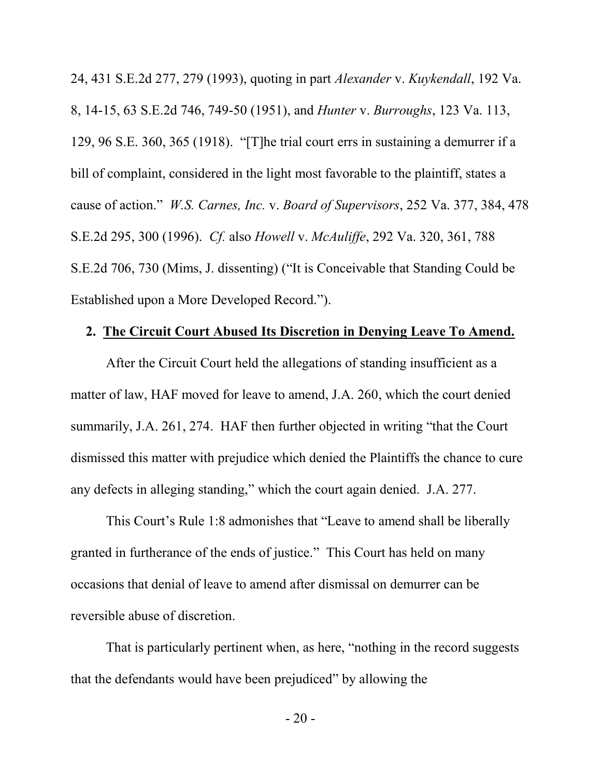24, 431 S.E.2d 277, 279 (1993), quoting in part *Alexander* v. *Kuykendall*, 192 Va. 8, 14-15, 63 S.E.2d 746, 749-50 (1951), and *Hunter* v. *Burroughs*, 123 Va. 113, 129, 96 S.E. 360, 365 (1918). "[T]he trial court errs in sustaining a demurrer if a bill of complaint, considered in the light most favorable to the plaintiff, states a cause of action." *W.S. Carnes, Inc.* v. *Board of Supervisors*, 252 Va. 377, 384, 478 S.E.2d 295, 300 (1996). *Cf.* also *Howell* v. *McAuliffe*, 292 Va. 320, 361, 788 S.E.2d 706, 730 (Mims, J. dissenting) ("It is Conceivable that Standing Could be Established upon a More Developed Record.").

#### **2. The Circuit Court Abused Its Discretion in Denying Leave To Amend.**

After the Circuit Court held the allegations of standing insufficient as a matter of law, HAF moved for leave to amend, J.A. 260, which the court denied summarily, J.A. 261, 274. HAF then further objected in writing "that the Court dismissed this matter with prejudice which denied the Plaintiffs the chance to cure any defects in alleging standing," which the court again denied. J.A. 277.

This Court's Rule 1:8 admonishes that "Leave to amend shall be liberally granted in furtherance of the ends of justice." This Court has held on many occasions that denial of leave to amend after dismissal on demurrer can be reversible abuse of discretion.

That is particularly pertinent when, as here, "nothing in the record suggests that the defendants would have been prejudiced" by allowing the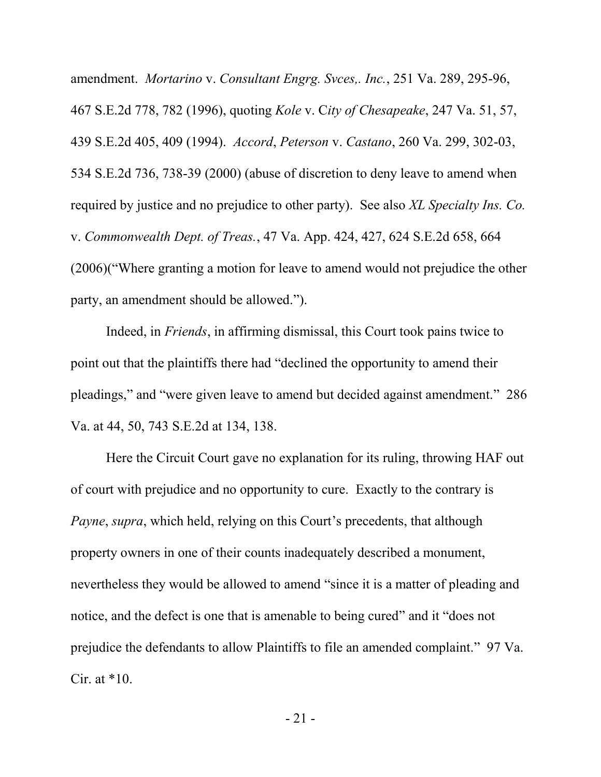amendment. *Mortarino* v. *Consultant Engrg. Svces,. Inc.*, 251 Va. 289, 295-96, 467 S.E.2d 778, 782 (1996), quoting *Kole* v. C*ity of Chesapeake*, 247 Va. 51, 57, 439 S.E.2d 405, 409 (1994). *Accord*, *Peterson* v. *Castano*, 260 Va. 299, 302-03, 534 S.E.2d 736, 738-39 (2000) (abuse of discretion to deny leave to amend when required by justice and no prejudice to other party). See also *XL Specialty Ins. Co.* v. *Commonwealth Dept. of Treas.*, 47 Va. App. 424, 427, 624 S.E.2d 658, 664 (2006)("Where granting a motion for leave to amend would not prejudice the other party, an amendment should be allowed.").

Indeed, in *Friends*, in affirming dismissal, this Court took pains twice to point out that the plaintiffs there had "declined the opportunity to amend their pleadings," and "were given leave to amend but decided against amendment." 286 Va. at 44, 50, 743 S.E.2d at 134, 138.

Here the Circuit Court gave no explanation for its ruling, throwing HAF out of court with prejudice and no opportunity to cure. Exactly to the contrary is *Payne*, *supra*, which held, relying on this Court's precedents, that although property owners in one of their counts inadequately described a monument, nevertheless they would be allowed to amend "since it is a matter of pleading and notice, and the defect is one that is amenable to being cured" and it "does not prejudice the defendants to allow Plaintiffs to file an amended complaint." 97 Va. Cir. at  $*10$ .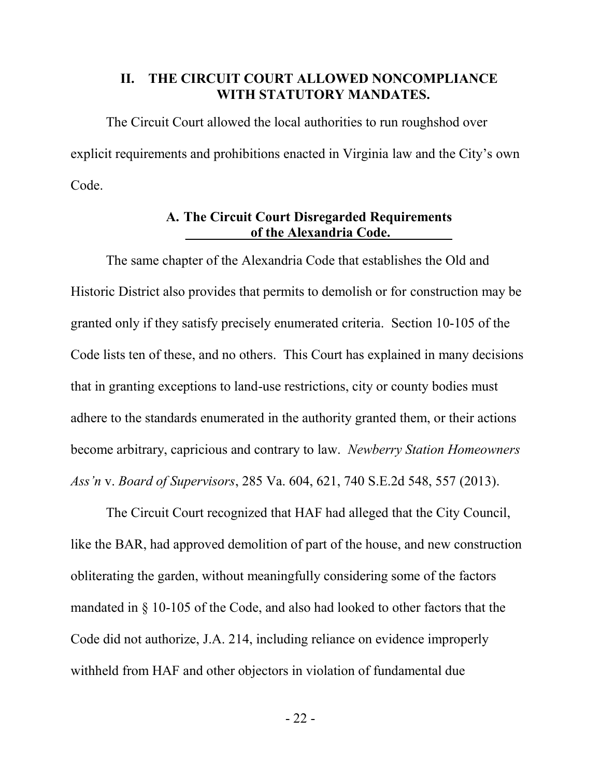#### **II. THE CIRCUIT COURT ALLOWED NONCOMPLIANCE WITH STATUTORY MANDATES.**

The Circuit Court allowed the local authorities to run roughshod over explicit requirements and prohibitions enacted in Virginia law and the City's own Code.

#### **A. The Circuit Court Disregarded Requirements** of the Alexandria Code.

The same chapter of the Alexandria Code that establishes the Old and Historic District also provides that permits to demolish or for construction may be granted only if they satisfy precisely enumerated criteria. Section 10-105 of the Code lists ten of these, and no others. This Court has explained in many decisions that in granting exceptions to land-use restrictions, city or county bodies must adhere to the standards enumerated in the authority granted them, or their actions become arbitrary, capricious and contrary to law. *Newberry Station Homeowners Ass'n* v. *Board of Supervisors*, 285 Va. 604, 621, 740 S.E.2d 548, 557 (2013).

The Circuit Court recognized that HAF had alleged that the City Council, like the BAR, had approved demolition of part of the house, and new construction obliterating the garden, without meaningfully considering some of the factors mandated in § 10-105 of the Code, and also had looked to other factors that the Code did not authorize, J.A. 214, including reliance on evidence improperly withheld from HAF and other objectors in violation of fundamental due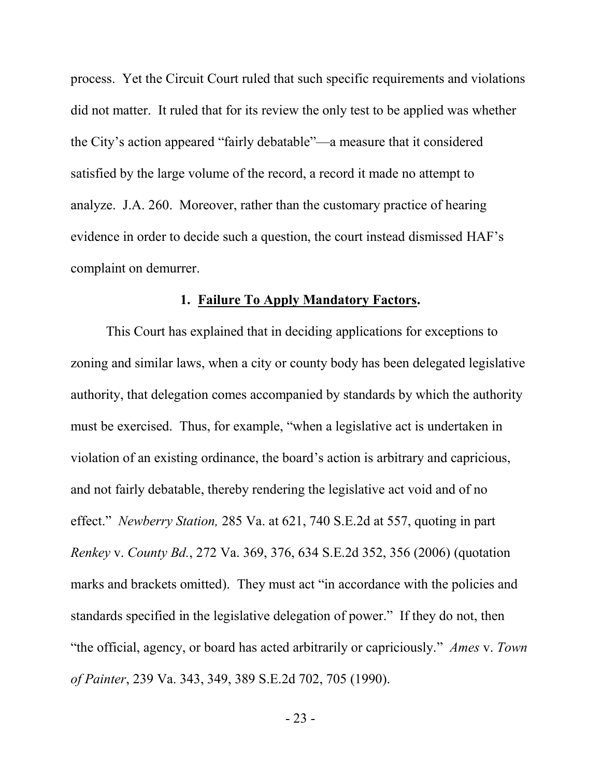process. Yet the Circuit Court ruled that such specific requirements and violations did not matter. It ruled that for its review the only test to be applied was whether the City's action appeared "fairly debatable"—a measure that it considered satisfied by the large volume of the record, a record it made no attempt to analyze. J.A. 260. Moreover, rather than the customary practice of hearing evidence in order to decide such a question, the court instead dismissed HAF's complaint on demurrer.

### **1. Failure To Apply Mandatory Factors.**

This Court has explained that in deciding applications for exceptions to zoning and similar laws, when a city or county body has been delegated legislative authority, that delegation comes accompanied by standards by which the authority must be exercised. Thus, for example, "when a legislative act is undertaken in violation of an existing ordinance, the board's action is arbitrary and capricious, and not fairly debatable, thereby rendering the legislative act void and of no effect." *Newberry Station,* 285 Va. at 621, 740 S.E.2d at 557, quoting in part *Renkey* v. *County Bd.*, 272 Va. 369, 376, 634 S.E.2d 352, 356 (2006) (quotation marks and brackets omitted). They must act "in accordance with the policies and standards specified in the legislative delegation of power." If they do not, then "the official, agency, or board has acted arbitrarily or capriciously." *Ames* v. *Town of Painter*, 239 Va. 343, 349, 389 S.E.2d 702, 705 (1990).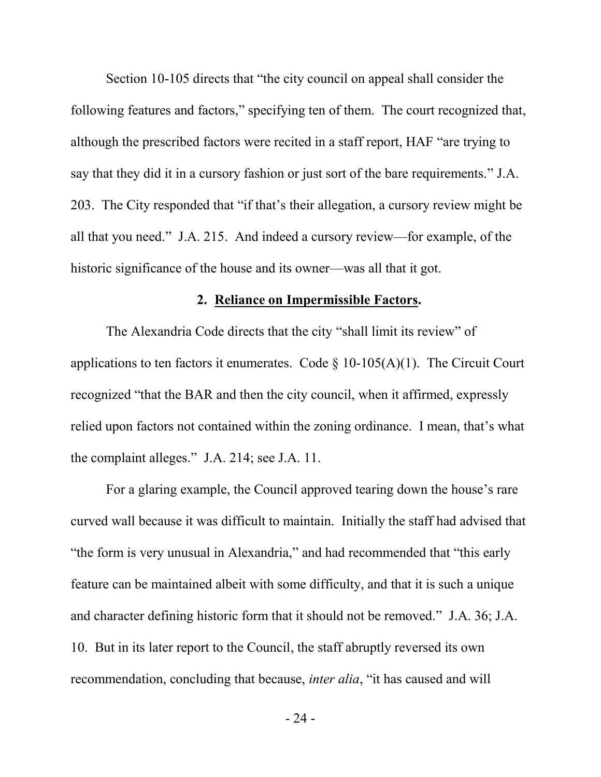Section 10-105 directs that "the city council on appeal shall consider the following features and factors," specifying ten of them. The court recognized that, although the prescribed factors were recited in a staff report, HAF "are trying to say that they did it in a cursory fashion or just sort of the bare requirements." J.A. 203. The City responded that "if that's their allegation, a cursory review might be all that you need." J.A. 215. And indeed a cursory review—for example, of the historic significance of the house and its owner—was all that it got.

### **2. Reliance on Impermissible Factors.**

The Alexandria Code directs that the city "shall limit its review" of applications to ten factors it enumerates. Code  $\S$  10-105(A)(1). The Circuit Court recognized "that the BAR and then the city council, when it affirmed, expressly relied upon factors not contained within the zoning ordinance. I mean, that's what the complaint alleges." J.A. 214; see J.A. 11.

For a glaring example, the Council approved tearing down the house's rare curved wall because it was difficult to maintain. Initially the staff had advised that "the form is very unusual in Alexandria," and had recommended that "this early feature can be maintained albeit with some difficulty, and that it is such a unique and character defining historic form that it should not be removed." J.A. 36; J.A. 10. But in its later report to the Council, the staff abruptly reversed its own recommendation, concluding that because, *inter alia*, "it has caused and will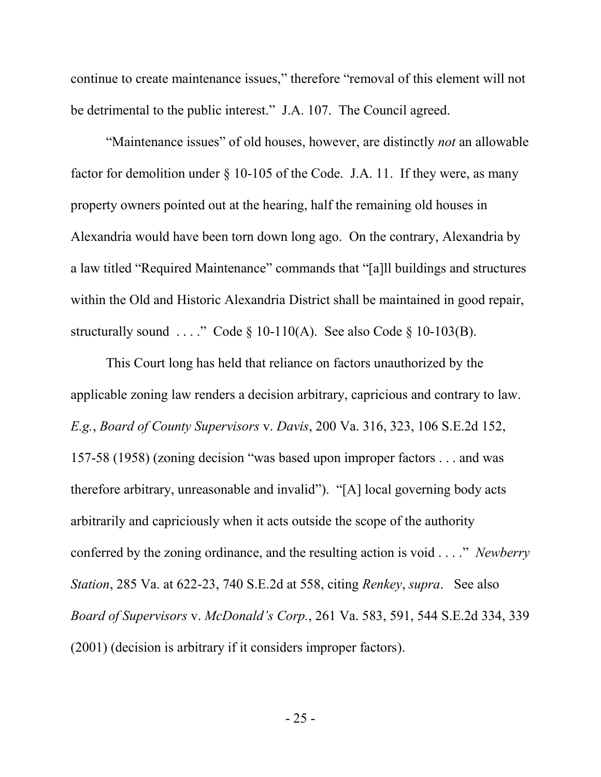continue to create maintenance issues," therefore "removal of this element will not be detrimental to the public interest." J.A. 107. The Council agreed.

"Maintenance issues" of old houses, however, are distinctly *not* an allowable factor for demolition under § 10-105 of the Code. J.A. 11. If they were, as many property owners pointed out at the hearing, half the remaining old houses in Alexandria would have been torn down long ago. On the contrary, Alexandria by a law titled "Required Maintenance" commands that "[a]ll buildings and structures within the Old and Historic Alexandria District shall be maintained in good repair, structurally sound ...." Code  $\S$  10-110(A). See also Code  $\S$  10-103(B).

This Court long has held that reliance on factors unauthorized by the applicable zoning law renders a decision arbitrary, capricious and contrary to law. *E.g.*, *Board of County Supervisors* v. *Davis*, 200 Va. 316, 323, 106 S.E.2d 152, 157-58 (1958) (zoning decision "was based upon improper factors . . . and was therefore arbitrary, unreasonable and invalid"). "[A] local governing body acts arbitrarily and capriciously when it acts outside the scope of the authority conferred by the zoning ordinance, and the resulting action is void . . . ." *Newberry Station*, 285 Va. at 622-23, 740 S.E.2d at 558, citing *Renkey*, *supra*. See also *Board of Supervisors* v. *McDonald's Corp.*, 261 Va. 583, 591, 544 S.E.2d 334, 339 (2001) (decision is arbitrary if it considers improper factors).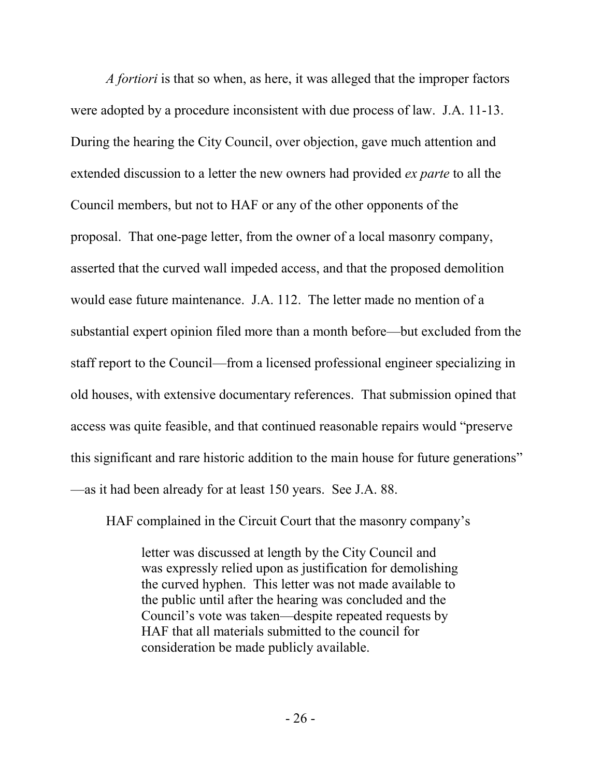*A fortiori* is that so when, as here, it was alleged that the improper factors were adopted by a procedure inconsistent with due process of law. J.A. 11-13. During the hearing the City Council, over objection, gave much attention and extended discussion to a letter the new owners had provided *ex parte* to all the Council members, but not to HAF or any of the other opponents of the proposal. That one-page letter, from the owner of a local masonry company, asserted that the curved wall impeded access, and that the proposed demolition would ease future maintenance. J.A. 112. The letter made no mention of a substantial expert opinion filed more than a month before—but excluded from the staff report to the Council—from a licensed professional engineer specializing in old houses, with extensive documentary references. That submission opined that access was quite feasible, and that continued reasonable repairs would "preserve this significant and rare historic addition to the main house for future generations" —as it had been already for at least 150 years. See J.A. 88.

HAF complained in the Circuit Court that the masonry company's

letter was discussed at length by the City Council and was expressly relied upon as justification for demolishing the curved hyphen. This letter was not made available to the public until after the hearing was concluded and the Council's vote was taken—despite repeated requests by HAF that all materials submitted to the council for consideration be made publicly available.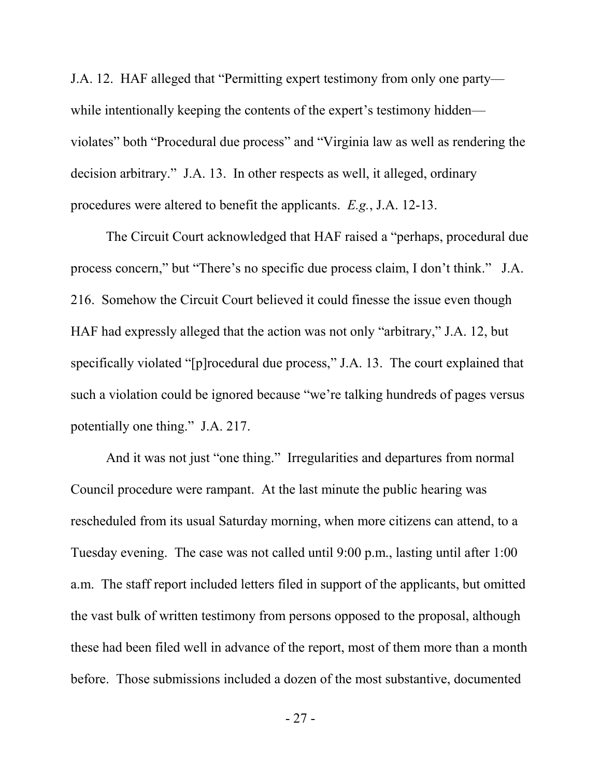J.A. 12. HAF alleged that "Permitting expert testimony from only one party while intentionally keeping the contents of the expert's testimony hidden violates" both "Procedural due process" and "Virginia law as well as rendering the decision arbitrary." J.A. 13. In other respects as well, it alleged, ordinary procedures were altered to benefit the applicants. *E.g.*, J.A. 12-13.

The Circuit Court acknowledged that HAF raised a "perhaps, procedural due process concern," but "There's no specific due process claim, I don't think." J.A. 216. Somehow the Circuit Court believed it could finesse the issue even though HAF had expressly alleged that the action was not only "arbitrary," J.A. 12, but specifically violated "[p]rocedural due process," J.A. 13. The court explained that such a violation could be ignored because "we're talking hundreds of pages versus potentially one thing." J.A. 217.

And it was not just "one thing." Irregularities and departures from normal Council procedure were rampant. At the last minute the public hearing was rescheduled from its usual Saturday morning, when more citizens can attend, to a Tuesday evening. The case was not called until 9:00 p.m., lasting until after 1:00 a.m. The staff report included letters filed in support of the applicants, but omitted the vast bulk of written testimony from persons opposed to the proposal, although these had been filed well in advance of the report, most of them more than a month before. Those submissions included a dozen of the most substantive, documented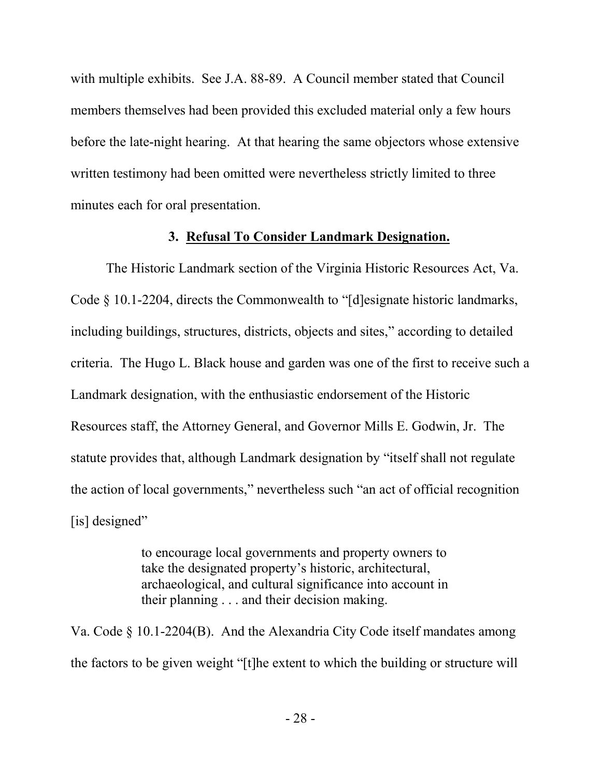with multiple exhibits. See J.A. 88-89. A Council member stated that Council members themselves had been provided this excluded material only a few hours before the late-night hearing. At that hearing the same objectors whose extensive written testimony had been omitted were nevertheless strictly limited to three minutes each for oral presentation.

#### **3. Refusal To Consider Landmark Designation.**

The Historic Landmark section of the Virginia Historic Resources Act, Va. Code § 10.1-2204, directs the Commonwealth to "[d]esignate historic landmarks, including buildings, structures, districts, objects and sites," according to detailed criteria. The Hugo L. Black house and garden was one of the first to receive such a Landmark designation, with the enthusiastic endorsement of the Historic Resources staff, the Attorney General, and Governor Mills E. Godwin, Jr. The statute provides that, although Landmark designation by "itself shall not regulate the action of local governments," nevertheless such "an act of official recognition [is] designed"

> to encourage local governments and property owners to take the designated property's historic, architectural, archaeological, and cultural significance into account in their planning . . . and their decision making.

Va. Code § 10.1-2204(B). And the Alexandria City Code itself mandates among the factors to be given weight "[t]he extent to which the building or structure will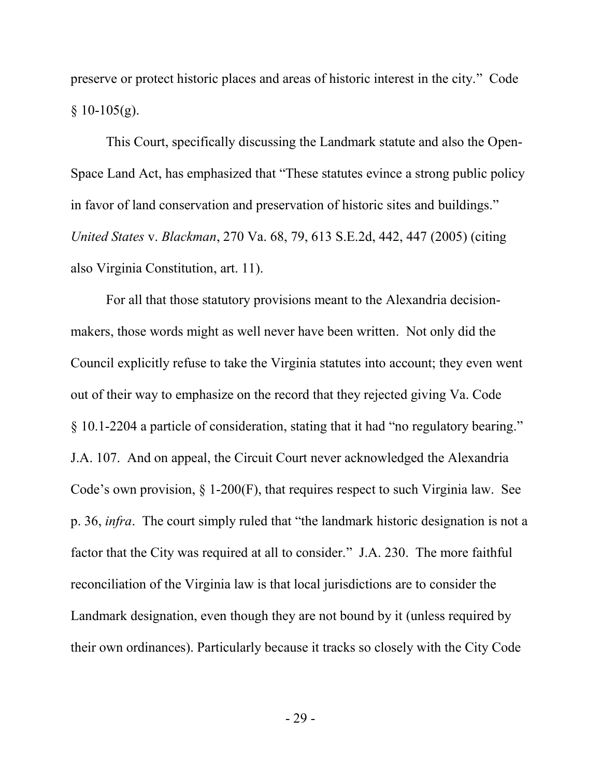preserve or protect historic places and areas of historic interest in the city." Code  $§$  10-105(g).

This Court, specifically discussing the Landmark statute and also the Open-Space Land Act, has emphasized that "These statutes evince a strong public policy in favor of land conservation and preservation of historic sites and buildings." *United States* v. *Blackman*, 270 Va. 68, 79, 613 S.E.2d, 442, 447 (2005) (citing also Virginia Constitution, art. 11).

For all that those statutory provisions meant to the Alexandria decisionmakers, those words might as well never have been written. Not only did the Council explicitly refuse to take the Virginia statutes into account; they even went out of their way to emphasize on the record that they rejected giving Va. Code § 10.1-2204 a particle of consideration, stating that it had "no regulatory bearing." J.A. 107. And on appeal, the Circuit Court never acknowledged the Alexandria Code's own provision, § 1-200(F), that requires respect to such Virginia law. See p. 36, *infra*. The court simply ruled that "the landmark historic designation is not a factor that the City was required at all to consider." J.A. 230. The more faithful reconciliation of the Virginia law is that local jurisdictions are to consider the Landmark designation, even though they are not bound by it (unless required by their own ordinances). Particularly because it tracks so closely with the City Code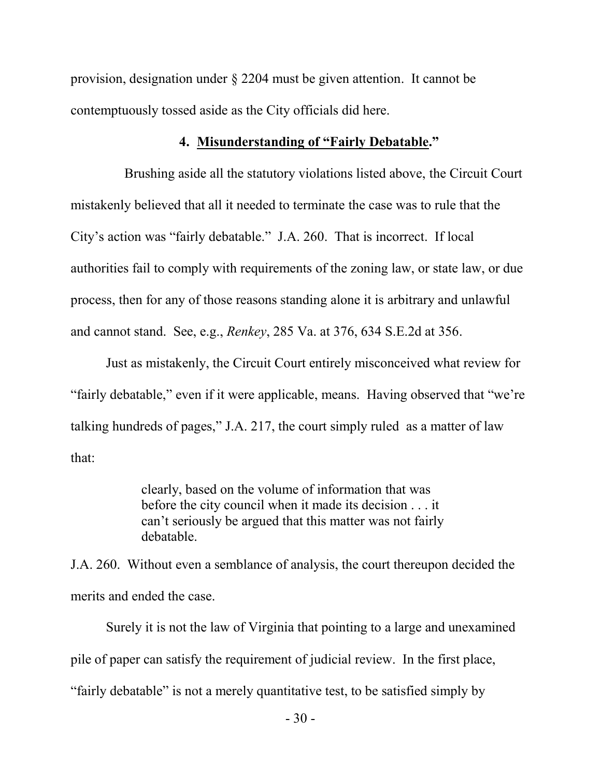provision, designation under § 2204 must be given attention. It cannot be contemptuously tossed aside as the City officials did here.

#### **4. Misunderstanding of "Fairly Debatable."**

Brushing aside all the statutory violations listed above, the Circuit Court mistakenly believed that all it needed to terminate the case was to rule that the City's action was "fairly debatable." J.A. 260. That is incorrect. If local authorities fail to comply with requirements of the zoning law, or state law, or due process, then for any of those reasons standing alone it is arbitrary and unlawful and cannot stand. See, e.g., *Renkey*, 285 Va. at 376, 634 S.E.2d at 356.

Just as mistakenly, the Circuit Court entirely misconceived what review for "fairly debatable," even if it were applicable, means. Having observed that "we're talking hundreds of pages," J.A. 217, the court simply ruled as a matter of law that:

> clearly, based on the volume of information that was before the city council when it made its decision . . . it can't seriously be argued that this matter was not fairly debatable.

J.A. 260. Without even a semblance of analysis, the court thereupon decided the merits and ended the case.

Surely it is not the law of Virginia that pointing to a large and unexamined pile of paper can satisfy the requirement of judicial review. In the first place, "fairly debatable" is not a merely quantitative test, to be satisfied simply by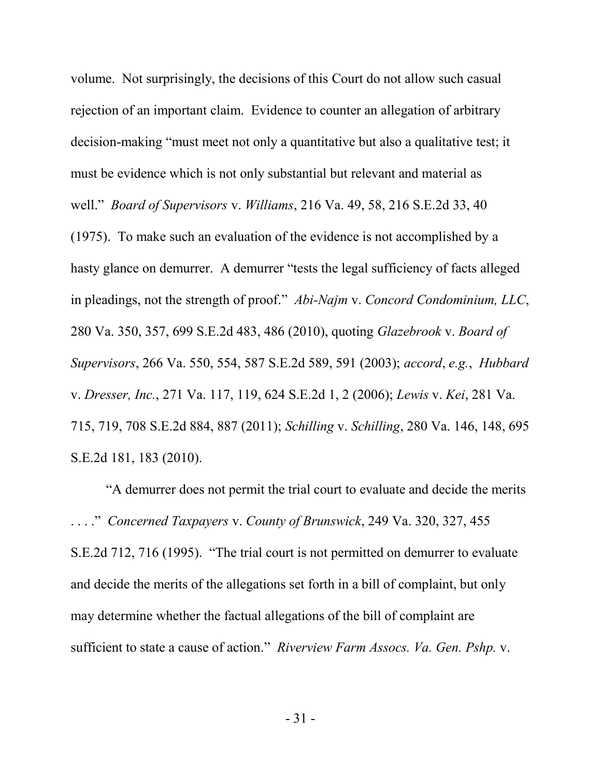volume. Not surprisingly, the decisions of this Court do not allow such casual rejection of an important claim. Evidence to counter an allegation of arbitrary decision-making "must meet not only a quantitative but also a qualitative test; it must be evidence which is not only substantial but relevant and material as well." *Board of Supervisors* v. *Williams*, 216 Va. 49, 58, 216 S.E.2d 33, 40 (1975). To make such an evaluation of the evidence is not accomplished by a hasty glance on demurrer. A demurrer "tests the legal sufficiency of facts alleged in pleadings, not the strength of proof." *Abi-Najm* v. *Concord Condominium, LLC*, 280 Va. 350, 357, 699 S.E.2d 483, 486 (2010), quoting *Glazebrook* v. *Board of Supervisors*, 266 Va. 550, 554, 587 S.E.2d 589, 591 (2003); *accord*, *e.g.*, *Hubbard* v. *Dresser, Inc.*, 271 Va. 117, 119, 624 S.E.2d 1, 2 (2006); *Lewis* v. *Kei*, 281 Va. 715, 719, 708 S.E.2d 884, 887 (2011); *Schilling* v. *Schilling*, 280 Va. 146, 148, 695 S.E.2d 181, 183 (2010).

"A demurrer does not permit the trial court to evaluate and decide the merits . . . ." *Concerned Taxpayers* v. *County of Brunswick*, 249 Va. 320, 327, 455 S.E.2d 712, 716 (1995). "The trial court is not permitted on demurrer to evaluate and decide the merits of the allegations set forth in a bill of complaint, but only may determine whether the factual allegations of the bill of complaint are sufficient to state a cause of action." *Riverview Farm Assocs. Va. Gen. Pshp.* v.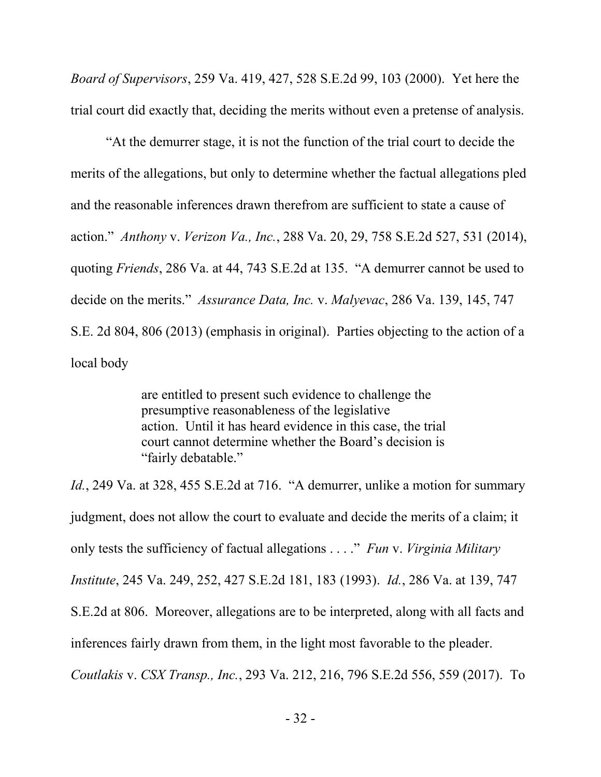*Board of Supervisors*, 259 Va. 419, 427, 528 S.E.2d 99, 103 (2000). Yet here the trial court did exactly that, deciding the merits without even a pretense of analysis.

"At the demurrer stage, it is not the function of the trial court to decide the merits of the allegations, but only to determine whether the factual allegations pled and the reasonable inferences drawn therefrom are sufficient to state a cause of action." *Anthony* v. *Verizon Va., Inc.*, 288 Va. 20, 29, 758 S.E.2d 527, 531 (2014), quoting *Friends*, 286 Va. at 44, 743 S.E.2d at 135. "A demurrer cannot be used to decide on the merits." *Assurance Data, Inc.* v. *Malyevac*, 286 Va. 139, 145, 747 S.E. 2d 804, 806 (2013) (emphasis in original). Parties objecting to the action of a local body

> are entitled to present such evidence to challenge the presumptive reasonableness of the legislative action. Until it has heard evidence in this case, the trial court cannot determine whether the Board's decision is "fairly debatable."

*Id.*, 249 Va. at 328, 455 S.E.2d at 716. "A demurrer, unlike a motion for summary judgment, does not allow the court to evaluate and decide the merits of a claim; it only tests the sufficiency of factual allegations . . . ." *Fun* v. *Virginia Military Institute*, 245 Va. 249, 252, 427 S.E.2d 181, 183 (1993). *Id.*, 286 Va. at 139, 747 S.E.2d at 806. Moreover, allegations are to be interpreted, along with all facts and inferences fairly drawn from them, in the light most favorable to the pleader. *Coutlakis* v. *CSX Transp., Inc.*, 293 Va. 212, 216, 796 S.E.2d 556, 559 (2017). To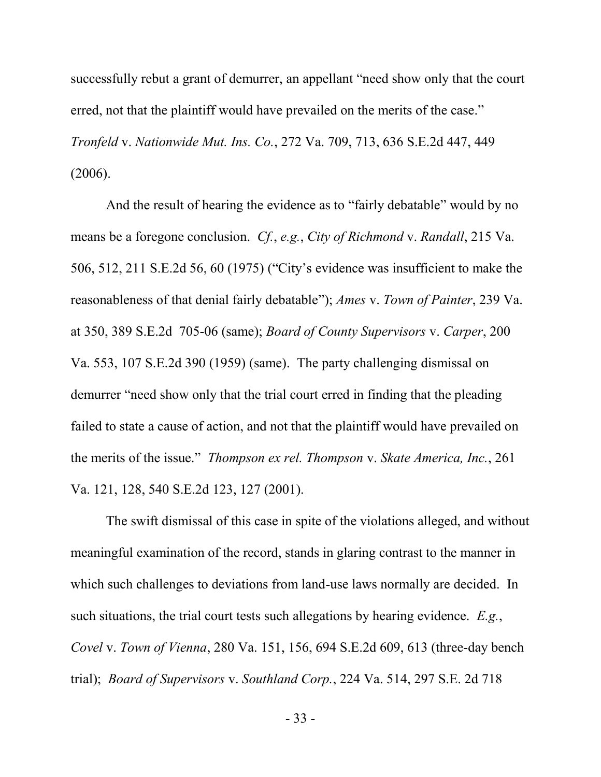successfully rebut a grant of demurrer, an appellant "need show only that the court erred, not that the plaintiff would have prevailed on the merits of the case." *Tronfeld* v. *Nationwide Mut. Ins. Co.*, 272 Va. 709, 713, 636 S.E.2d 447, 449 (2006).

And the result of hearing the evidence as to "fairly debatable" would by no means be a foregone conclusion. *Cf.*, *e.g.*, *City of Richmond* v. *Randall*, 215 Va. 506, 512, 211 S.E.2d 56, 60 (1975) ("City's evidence was insufficient to make the reasonableness of that denial fairly debatable"); *Ames* v. *Town of Painter*, 239 Va. at 350, 389 S.E.2d 705-06 (same); *Board of County Supervisors* v. *Carper*, 200 Va. 553, 107 S.E.2d 390 (1959) (same). The party challenging dismissal on demurrer "need show only that the trial court erred in finding that the pleading failed to state a cause of action, and not that the plaintiff would have prevailed on the merits of the issue." *Thompson ex rel. Thompson* v. *Skate America, Inc.*, 261 Va. 121, 128, 540 S.E.2d 123, 127 (2001).

The swift dismissal of this case in spite of the violations alleged, and without meaningful examination of the record, stands in glaring contrast to the manner in which such challenges to deviations from land-use laws normally are decided. In such situations, the trial court tests such allegations by hearing evidence. *E.g.*, *Covel* v. *Town of Vienna*, 280 Va. 151, 156, 694 S.E.2d 609, 613 (three-day bench trial); *Board of Supervisors* v. *Southland Corp.*, 224 Va. 514, 297 S.E. 2d 718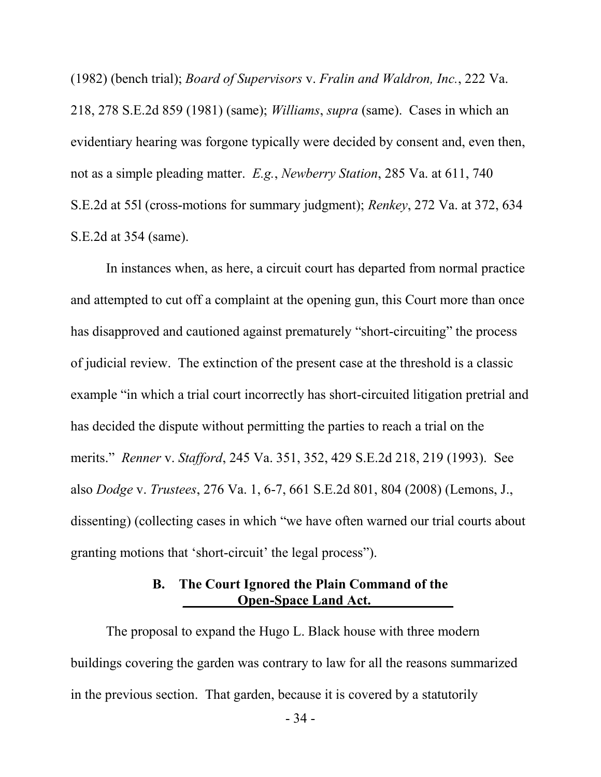(1982) (bench trial); *Board of Supervisors* v. *Fralin and Waldron, Inc.*, 222 Va. 218, 278 S.E.2d 859 (1981) (same); *Williams*, *supra* (same). Cases in which an evidentiary hearing was forgone typically were decided by consent and, even then, not as a simple pleading matter. *E.g.*, *Newberry Station*, 285 Va. at 611, 740 S.E.2d at 55l (cross-motions for summary judgment); *Renkey*, 272 Va. at 372, 634 S.E.2d at 354 (same).

In instances when, as here, a circuit court has departed from normal practice and attempted to cut off a complaint at the opening gun, this Court more than once has disapproved and cautioned against prematurely "short-circuiting" the process of judicial review. The extinction of the present case at the threshold is a classic example "in which a trial court incorrectly has short-circuited litigation pretrial and has decided the dispute without permitting the parties to reach a trial on the merits." *Renner* v. *Stafford*, 245 Va. 351, 352, 429 S.E.2d 218, 219 (1993). See also *Dodge* v. *Trustees*, 276 Va. 1, 6-7, 661 S.E.2d 801, 804 (2008) (Lemons, J., dissenting) (collecting cases in which "we have often warned our trial courts about granting motions that 'short-circuit' the legal process").

### **B. The Court Ignored the Plain Command of the Open-Space Land Act.**

The proposal to expand the Hugo L. Black house with three modern buildings covering the garden was contrary to law for all the reasons summarized in the previous section. That garden, because it is covered by a statutorily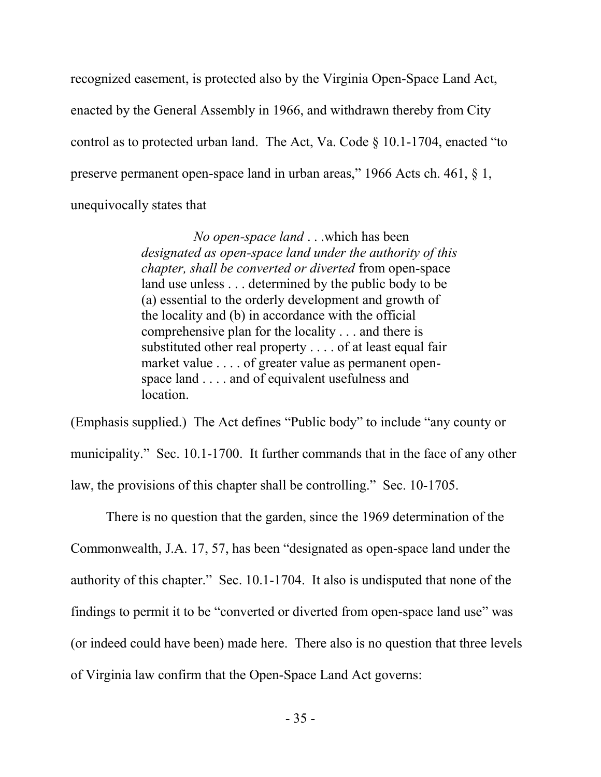recognized easement, is protected also by the Virginia Open-Space Land Act, enacted by the General Assembly in 1966, and withdrawn thereby from City control as to protected urban land. The Act, Va. Code § 10.1-1704, enacted "to preserve permanent open-space land in urban areas," 1966 Acts ch. 461, § 1, unequivocally states that

> *No open-space land* . . .which has been *designated as open-space land under the authority of this chapter, shall be converted or diverted* from open-space land use unless . . . determined by the public body to be (a) essential to the orderly development and growth of the locality and (b) in accordance with the official comprehensive plan for the locality . . . and there is substituted other real property . . . . of at least equal fair market value . . . . of greater value as permanent openspace land . . . . and of equivalent usefulness and location.

(Emphasis supplied.) The Act defines "Public body" to include "any county or municipality." Sec. 10.1-1700. It further commands that in the face of any other law, the provisions of this chapter shall be controlling." Sec. 10-1705.

There is no question that the garden, since the 1969 determination of the Commonwealth, J.A. 17, 57, has been "designated as open-space land under the authority of this chapter." Sec. 10.1-1704. It also is undisputed that none of the findings to permit it to be "converted or diverted from open-space land use" was (or indeed could have been) made here. There also is no question that three levels of Virginia law confirm that the Open-Space Land Act governs: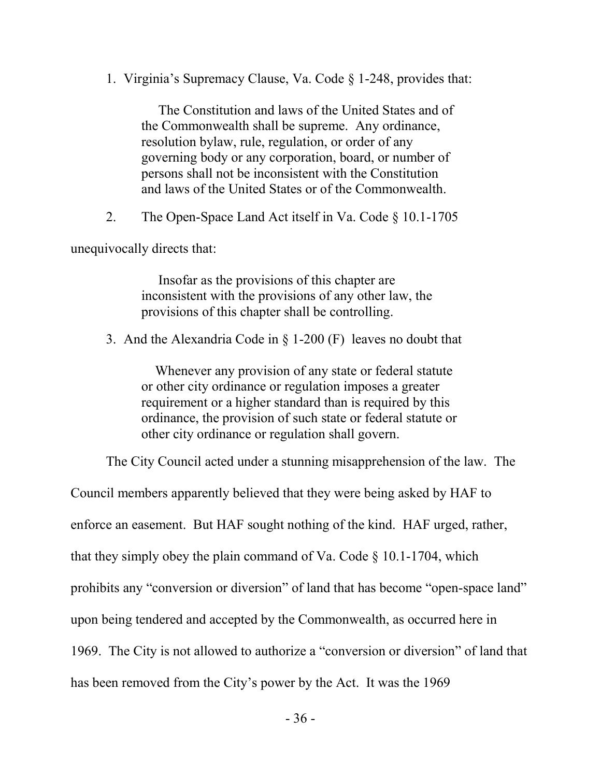1. Virginia's Supremacy Clause, Va. Code § 1-248, provides that:

 The Constitution and laws of the United States and of the Commonwealth shall be supreme. Any ordinance, resolution bylaw, rule, regulation, or order of any governing body or any corporation, board, or number of persons shall not be inconsistent with the Constitution and laws of the United States or of the Commonwealth.

2. The Open-Space Land Act itself in Va. Code § 10.1-1705

unequivocally directs that:

 Insofar as the provisions of this chapter are inconsistent with the provisions of any other law, the provisions of this chapter shall be controlling.

3. And the Alexandria Code in § 1-200 (F) leaves no doubt that

 Whenever any provision of any state or federal statute or other city ordinance or regulation imposes a greater requirement or a higher standard than is required by this ordinance, the provision of such state or federal statute or other city ordinance or regulation shall govern.

The City Council acted under a stunning misapprehension of the law. The

Council members apparently believed that they were being asked by HAF to enforce an easement. But HAF sought nothing of the kind. HAF urged, rather, that they simply obey the plain command of Va. Code  $\S$  10.1-1704, which prohibits any "conversion or diversion" of land that has become "open-space land" upon being tendered and accepted by the Commonwealth, as occurred here in 1969. The City is not allowed to authorize a "conversion or diversion" of land that has been removed from the City's power by the Act. It was the 1969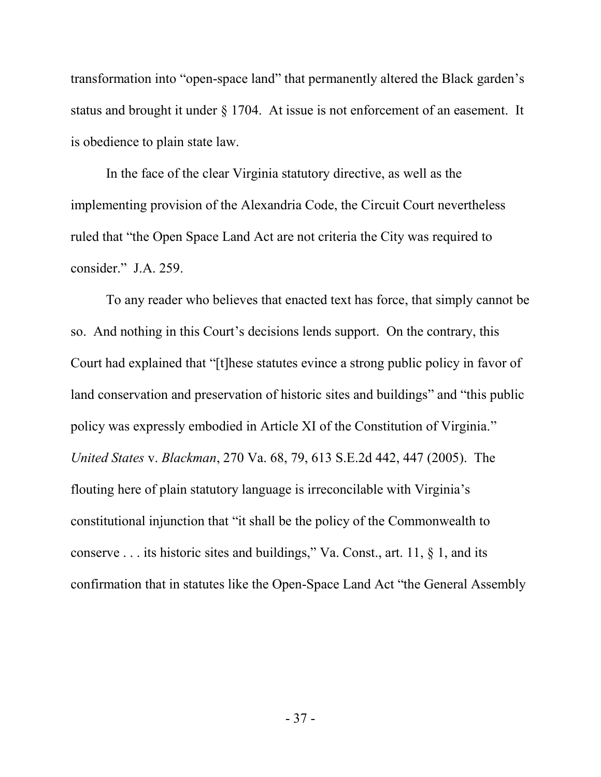transformation into "open-space land" that permanently altered the Black garden's status and brought it under § 1704. At issue is not enforcement of an easement. It is obedience to plain state law.

In the face of the clear Virginia statutory directive, as well as the implementing provision of the Alexandria Code, the Circuit Court nevertheless ruled that "the Open Space Land Act are not criteria the City was required to consider." J.A. 259.

To any reader who believes that enacted text has force, that simply cannot be so. And nothing in this Court's decisions lends support. On the contrary, this Court had explained that "[t]hese statutes evince a strong public policy in favor of land conservation and preservation of historic sites and buildings" and "this public policy was expressly embodied in Article XI of the Constitution of Virginia." *United States* v. *Blackman*, 270 Va. 68, 79, 613 S.E.2d 442, 447 (2005). The flouting here of plain statutory language is irreconcilable with Virginia's constitutional injunction that "it shall be the policy of the Commonwealth to conserve . . . its historic sites and buildings," Va. Const., art. 11, § 1, and its confirmation that in statutes like the Open-Space Land Act "the General Assembly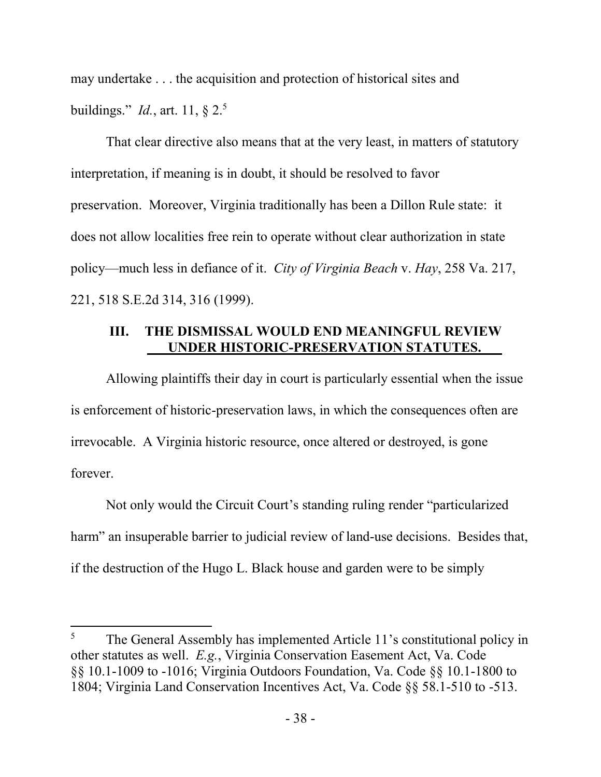may undertake . . . the acquisition and protection of historical sites and buildings." *Id.*, art. 11, § 2.<sup>5</sup>

That clear directive also means that at the very least, in matters of statutory interpretation, if meaning is in doubt, it should be resolved to favor preservation. Moreover, Virginia traditionally has been a Dillon Rule state: it does not allow localities free rein to operate without clear authorization in state policy—much less in defiance of it. *City of Virginia Beach* v. *Hay*, 258 Va. 217, 221, 518 S.E.2d 314, 316 (1999).

## **III. THE DISMISSAL WOULD END MEANINGFUL REVIEW \_\_\_UNDER HISTORIC-PRESERVATION STATUTES.\_\_\_**

Allowing plaintiffs their day in court is particularly essential when the issue is enforcement of historic-preservation laws, in which the consequences often are irrevocable. A Virginia historic resource, once altered or destroyed, is gone forever.

Not only would the Circuit Court's standing ruling render "particularized harm" an insuperable barrier to judicial review of land-use decisions. Besides that, if the destruction of the Hugo L. Black house and garden were to be simply

 $\overline{\phantom{a}}$ 

<sup>&</sup>lt;sup>5</sup> The General Assembly has implemented Article 11's constitutional policy in other statutes as well. *E.g.*, Virginia Conservation Easement Act, Va. Code §§ 10.1-1009 to -1016; Virginia Outdoors Foundation, Va. Code §§ 10.1-1800 to 1804; Virginia Land Conservation Incentives Act, Va. Code §§ 58.1-510 to -513.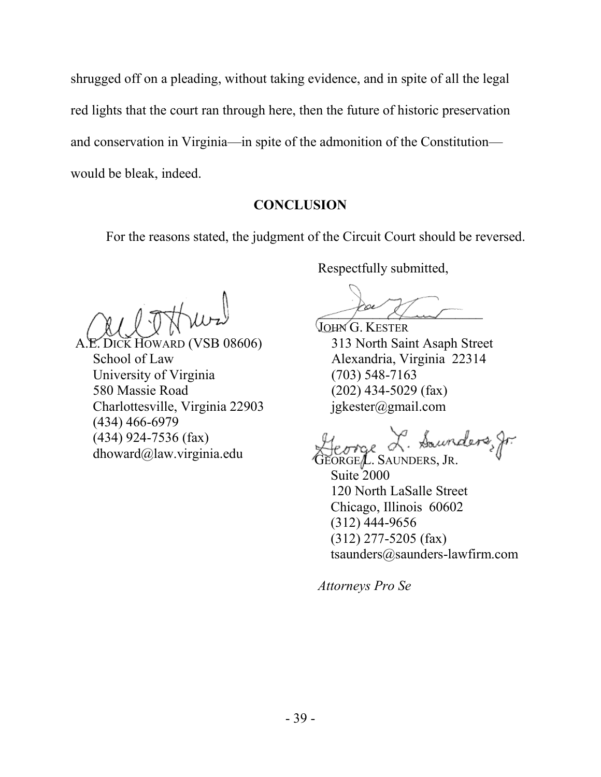shrugged off on a pleading, without taking evidence, and in spite of all the legal red lights that the court ran through here, then the future of historic preservation and conservation in Virginia—in spite of the admonition of the Constitution would be bleak, indeed.

#### **CONCLUSION**

For the reasons stated, the judgment of the Circuit Court should be reversed.

ARD (VSB 08606) School of Law University of Virginia 580 Massie Road Charlottesville, Virginia 22903 (434) 466-6979 (434) 924-7536 (fax) dhoward@law.virginia.edu

Respectfully submitted,

pour et un

JOHN G. KESTER 313 North Saint Asaph Street Alexandria, Virginia 22314 (703) 548-7163 (202) 434-5029 (fax) jgkester@gmail.com

George L. Saunders, fr.

Suite 2000 120 North LaSalle Street Chicago, Illinois 60602 (312) 444-9656 (312) 277-5205 (fax) tsaunders@saunders-lawfirm.com

*Attorneys Pro Se*